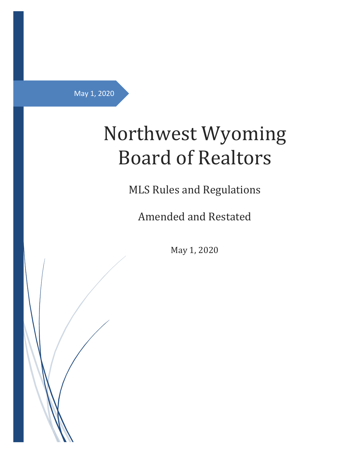May 1, 2020

# Northwest Wyoming Board of Realtors

MLS Rules and Regulations

Amended and Restated

May 1, 2020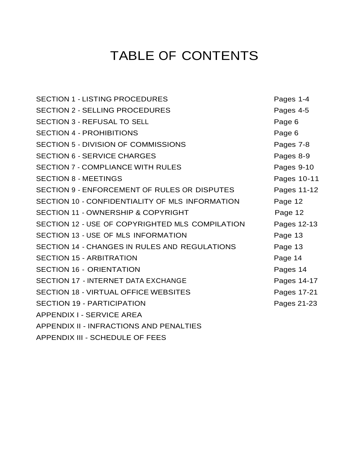# TABLE OF CONTENTS

| <b>SECTION 1 - LISTING PROCEDURES</b>           | Pages 1-4   |
|-------------------------------------------------|-------------|
| <b>SECTION 2 - SELLING PROCEDURES</b>           | Pages 4-5   |
| <b>SECTION 3 - REFUSAL TO SELL</b>              | Page 6      |
| <b>SECTION 4 - PROHIBITIONS</b>                 | Page 6      |
| <b>SECTION 5 - DIVISION OF COMMISSIONS</b>      | Pages 7-8   |
| <b>SECTION 6 - SERVICE CHARGES</b>              | Pages 8-9   |
| <b>SECTION 7 - COMPLIANCE WITH RULES</b>        | Pages 9-10  |
| <b>SECTION 8 - MEETINGS</b>                     | Pages 10-11 |
| SECTION 9 - ENFORCEMENT OF RULES OR DISPUTES    | Pages 11-12 |
| SECTION 10 - CONFIDENTIALITY OF MLS INFORMATION | Page 12     |
| <b>SECTION 11 - OWNERSHIP &amp; COPYRIGHT</b>   | Page 12     |
| SECTION 12 - USE OF COPYRIGHTED MLS COMPILATION | Pages 12-13 |
| SECTION 13 - USE OF MLS INFORMATION             | Page 13     |
| SECTION 14 - CHANGES IN RULES AND REGULATIONS   | Page 13     |
| <b>SECTION 15 - ARBITRATION</b>                 | Page 14     |
| <b>SECTION 16 - ORIENTATION</b>                 | Pages 14    |
| <b>SECTION 17 - INTERNET DATA EXCHANGE</b>      | Pages 14-17 |
| <b>SECTION 18 - VIRTUAL OFFICE WEBSITES</b>     | Pages 17-21 |
| <b>SECTION 19 - PARTICIPATION</b>               | Pages 21-23 |
| <b>APPENDIX I - SERVICE AREA</b>                |             |
| <b>APPENDIX II - INFRACTIONS AND PENALTIES</b>  |             |
| APPENDIX III - SCHEDULE OF FEES                 |             |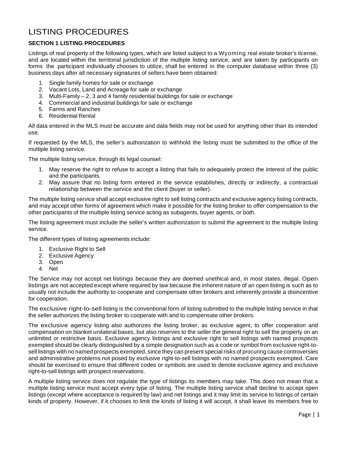### LISTING PROCEDURES

### **SECTION 1 LISTING PROCEDURES**

Listings of real property of the following types, which are listed subject to a Wyoming real estate broker's license, and are located within the territorial jurisdiction of the multiple listing service, and are taken by participants on forms the participant individually chooses to utilize, shall be entered in the computer database within three (3) business days after all necessary signatures of sellers have been obtained:

- 1. Single family homes for sale or exchange
- 2. Vacant Lots, Land and Acreage for sale or exchange
- 3. Multi-Family 2, 3 and 4 family residential buildings for sale or exchange
- 4. Commercial and industrial buildings for sale or exchange
- 5. Farms and Ranches
- 6. Residential Rental

All data entered in the MLS must be accurate and data fields may not be used for anything other than its intended use.

If requested by the MLS, the seller's authorization to withhold the listing must be submitted to the office of the multiple listing service.

The multiple listing service, through its legal counsel:

- 1. May reserve the right to refuse to accept a listing that fails to adequately protect the interest of the public and the participants.
- 2. May assure that no listing form entered in the service establishes, directly or indirectly, a contractual relationship between the service and the client (buyer or seller).

The multiple listing service shall accept exclusive right to sell listing contracts and exclusive agency listing contracts, and may accept other forms of agreement which make it possible for the listing broker to offer compensation to the other participants of the multiple listing service acting as subagents, buyer agents, or both.

The listing agreement must include the seller's written authorization to submit the agreement to the multiple listing service.

The different types of listing agreements include:

- 1. Exclusive Right to Sell
- 2. Exclusive Agency
- 3. Open
- 4. Net

The Service may not accept net listings because they are deemed unethical and, in most states, illegal. Open listings are not accepted except where required by law because the inherent nature of an open listing is such as to usually not include the authority to cooperate and compensate other brokers and inherently provide a disincentive for cooperation.

The exclusive right-to-sell listing is the conventional form of listing submitted to the multiple listing service in that the seller authorizes the listing broker to cooperate with and to compensate other brokers.

The exclusive agency listing also authorizes the listing broker, as exclusive agent, to offer cooperation and compensation on blanket unilateral bases, but also reserves to the seller the general right to sell the property on an unlimited or restrictive basis. Exclusive agency listings and exclusive right to sell listings with named prospects exempted should be clearly distinguished by a simple designation such as a code or symbol from exclusive right-tosell listings with no named prospects exempted, since they can present special risks of procuring cause controversies and administrative problems not posed by exclusive right-to-sell listings with no named prospects exempted. Care should be exercised to ensure that different codes or symbols are used to denote exclusive agency and exclusive right-to-sell listings with prospect reservations.

A multiple listing service does not regulate the type of listings its members may take. This does not mean that a multiple listing service must accept every type of listing. The multiple listing service shall decline to accept open listings (except where acceptance is required by law) and net listings and it may limit its service to listings of certain kinds of property. However, if it chooses to limit the kinds of listing it will accept, it shall leave its members free to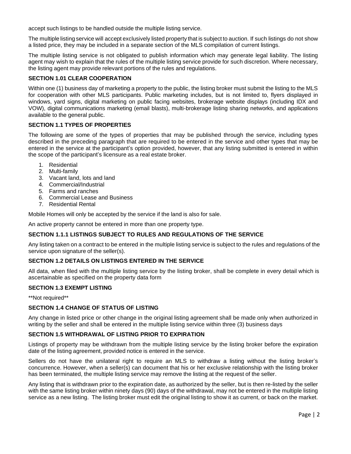accept such listings to be handled outside the multiple listing service.

The multiple listing service will accept exclusively listed property that is subject to auction. If such listings do not show a listed price, they may be included in a separate section of the MLS compilation of current listings.

The multiple listing service is not obligated to publish information which may generate legal liability. The listing agent may wish to explain that the rules of the multiple listing service provide for such discretion. Where necessary, the listing agent may provide relevant portions of the rules and regulations.

### **SECTION 1.01 CLEAR COOPERATION**

Within one (1) business day of marketing a property to the public, the listing broker must submit the listing to the MLS for cooperation with other MLS participants. Public marketing includes, but is not limited to, flyers displayed in windows, yard signs, digital marketing on public facing websites, brokerage website displays (including IDX and VOW), digital communications marketing (email blasts), multi-brokerage listing sharing networks, and applications available to the general public.

### **SECTION 1.1 TYPES OF PROPERTIES**

The following are some of the types of properties that may be published through the service, including types described in the preceding paragraph that are required to be entered in the service and other types that may be entered in the service at the participant's option provided, however, that any listing submitted is entered in within the scope of the participant's licensure as a real estate broker.

- 1. Residential
- 2. Multi-family
- 3. Vacant land, lots and land
- 4. Commercial/Industrial
- 5. Farms and ranches
- 6. Commercial Lease and Business
- 7. Residential Rental

Mobile Homes will only be accepted by the service if the land is also for sale.

An active property cannot be entered in more than one property type.

### **SECTION 1.1.1 LISTINGS SUBJECT TO RULES AND REGULATIONS OF THE SERVICE**

Any listing taken on a contract to be entered in the multiple listing service is subject to the rules and regulations of the service upon signature of the seller(s).

### **SECTION 1.2 DETAILS ON LISTINGS ENTERED IN THE SERVICE**

All data, when filed with the multiple listing service by the listing broker, shall be complete in every detail which is ascertainable as specified on the property data form

### **SECTION 1.3 EXEMPT LISTING**

\*\*Not required\*\*

### **SECTION 1.4 CHANGE OF STATUS OF LISTING**

Any change in listed price or other change in the original listing agreement shall be made only when authorized in writing by the seller and shall be entered in the multiple listing service within three (3) business days

### **SECTION 1.5 WITHDRAWAL OF LISTING PRIOR TO EXPIRATION**

Listings of property may be withdrawn from the multiple listing service by the listing broker before the expiration date of the listing agreement, provided notice is entered in the service.

Sellers do not have the unilateral right to require an MLS to withdraw a listing without the listing broker's concurrence. However, when a seller(s) can document that his or her exclusive relationship with the listing broker has been terminated, the multiple listing service may remove the listing at the request of the seller.

Any listing that is withdrawn prior to the expiration date, as authorized by the seller, but is then re-listed by the seller with the same listing broker within ninety days (90) days of the withdrawal, may not be entered in the multiple listing service as a new listing. The listing broker must edit the original listing to show it as current, or back on the market.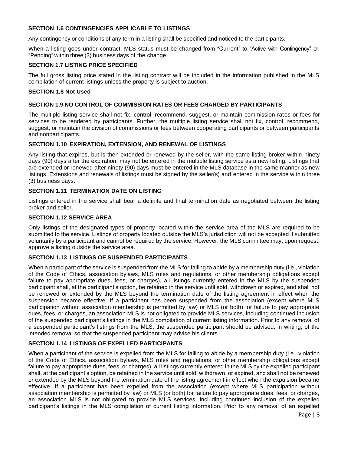### **SECTION 1.6 CONTINGENCIES APPLICABLE TO LISTINGS**

Any contingency or conditions of any term in a listing shall be specified and noticed to the participants.

When a listing goes under contract, MLS status must be changed from "Current" to "Active with Contingency" or "Pending" within three (3) business days of the change.

### **SECTION 1.7 LISTING PRICE SPECIFIED**

The full gross listing price stated in the listing contract will be included in the information published in the MLS compilation of current listings unless the property is subject to auction.

### **SECTION 1.8 Not Used**

### **SECTION 1.9 NO CONTROL OF COMMISSION RATES OR FEES CHARGED BY PARTICIPANTS**

The multiple listing service shall not fix, control, recommend, suggest, or maintain commission rates or fees for services to be rendered by participants. Further, the multiple listing service shall not fix, control, recommend, suggest, or maintain the division of commissions or fees between cooperating participants or between participants and nonparticipants.

### **SECTION 1.10 EXPIRATION, EXTENSION, AND RENEWAL OF LISTINGS**

Any listing that expires, but is then extended or renewed by the seller, with the same listing broker within ninety days (90) days after the expiration, may not be entered in the multiple listing service as a new listing. Listings that are extended or renewed after ninety (90) days must be entered in the MLS database in the same manner as new listings. Extensions and renewals of listings must be signed by the seller(s) and entered in the service within three (3) business days.

### **SECTION 1.11 TERMINATION DATE ON LISTING**

Listings entered in the service shall bear a definite and final termination date as negotiated between the listing broker and seller.

### **SECTION 1.12 SERVICE AREA**

Only listings of the designated types of property located within the service area of the MLS are required to be submitted to the service. Listings of property located outside the MLS's jurisdiction will not be accepted if submitted voluntarily by a participant and cannot be required by the service. However, the MLS committee may, upon request, approve a listing outside the service area.

### **SECTION 1.13 LISTINGS OF SUSPENDED PARTICIPANTS**

When a participant of the service is suspended from the MLS for failing to abide by a membership duty (i.e., violation of the Code of Ethics, association bylaws, MLS rules and regulations, or other membership obligations except failure to pay appropriate dues, fees, or charges), all listings currently entered in the MLS by the suspended participant shall, at the participant's option, be retained in the service until sold, withdrawn or expired, and shall not be renewed or extended by the MLS beyond the termination date of the listing agreement in effect when the suspension became effective. If a participant has been suspended from the association (except where MLS participation without association membership is permitted by law) or MLS (or both) for failure to pay appropriate dues, fees, or charges, an association MLS is not obligated to provide MLS services, including continued inclusion of the suspended participant's listings in the MLS compilation of current listing information. Prior to any removal of a suspended participant's listings from the MLS, the suspended participant should be advised, in writing, of the intended removal so that the suspended participant may advise his clients.

### **SECTION 1.14 LISTINGS OF EXPELLED PARTICIPANTS**

When a participant of the service is expelled from the MLS for failing to abide by a membership duty (i.e., violation of the Code of Ethics, association bylaws, MLS rules and regulations, or other membership obligations except failure to pay appropriate dues, fees, or charges), all listings currently entered in the MLS by the expelled participant shall, at the participant's option, be retained in the service until sold, withdrawn, or expired, and shall not be renewed or extended by the MLS beyond the termination date of the listing agreement in effect when the expulsion became effective. If a participant has been expelled from the association (except where MLS participation without association membership is permitted by law) or MLS (or both) for failure to pay appropriate dues, fees, or charges, an association MLS is not obligated to provide MLS services, including continued inclusion of the expelled participant's listings in the MLS compilation of current listing information. Prior to any removal of an expelled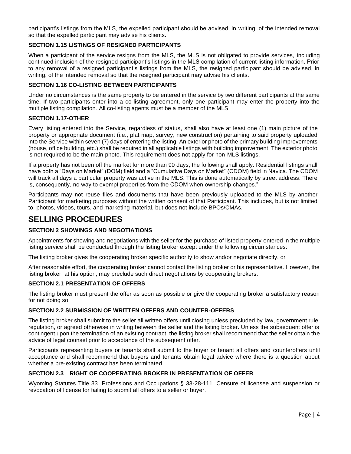participant's listings from the MLS, the expelled participant should be advised, in writing, of the intended removal so that the expelled participant may advise his clients.

### **SECTION 1.15 LISTINGS OF RESIGNED PARTICIPANTS**

When a participant of the service resigns from the MLS, the MLS is not obligated to provide services, including continued inclusion of the resigned participant's listings in the MLS compilation of current listing information. Prior to any removal of a resigned participant's listings from the MLS, the resigned participant should be advised, in writing, of the intended removal so that the resigned participant may advise his clients.

### **SECTION 1.16 CO-LISTING BETWEEN PARTICIPANTS**

Under no circumstances is the same property to be entered in the service by two different participants at the same time. If two participants enter into a co-listing agreement, only one participant may enter the property into the multiple listing compilation. All co-listing agents must be a member of the MLS.

### **SECTION 1.17-OTHER**

Every listing entered into the Service, regardless of status, shall also have at least one (1) main picture of the property or appropriate document (i.e., plat map, survey, new construction) pertaining to said property uploaded into the Service within seven (7) days of entering the listing. An exterior photo of the primary building improvements (house, office building, etc.) shall be required in all applicable listings with building improvement. The exterior photo is not required to be the main photo. This requirement does not apply for non-MLS listings.

If a property has not been off the market for more than 90 days, the following shall apply: Residential listings shall have both a "Days on Market" (DOM) field and a "Cumulative Days on Market" (CDOM) field in Navica. The CDOM will track all days a particular property was active in the MLS. This is done automatically by street address. There is, consequently, no way to exempt properties from the CDOM when ownership changes."

Participants may not reuse files and documents that have been previously uploaded to the MLS by another Participant for marketing purposes without the written consent of that Participant. This includes, but is not limited to, photos, videos, tours, and marketing material, but does not include BPOs/CMAs.

### **SELLING PROCEDURES**

### **SECTION 2 SHOWINGS AND NEGOTIATIONS**

Appointments for showing and negotiations with the seller for the purchase of listed property entered in the multiple listing service shall be conducted through the listing broker except under the following circumstances:

The listing broker gives the cooperating broker specific authority to show and/or negotiate directly, or

After reasonable effort, the cooperating broker cannot contact the listing broker or his representative. However, the listing broker, at his option, may preclude such direct negotiations by cooperating brokers.

### **SECTION 2.1 PRESENTATION OF OFFERS**

The listing broker must present the offer as soon as possible or give the cooperating broker a satisfactory reason for not doing so.

### **SECTION 2.2 SUBMISSION OF WRITTEN OFFERS AND COUNTER-OFFERS**

The listing broker shall submit to the seller all written offers until closing unless precluded by law, government rule, regulation, or agreed otherwise in writing between the seller and the listing broker. Unless the subsequent offer is contingent upon the termination of an existing contract, the listing broker shall recommend that the seller obtain the advice of legal counsel prior to acceptance of the subsequent offer.

Participants representing buyers or tenants shall submit to the buyer or tenant all offers and counteroffers until acceptance and shall recommend that buyers and tenants obtain legal advice where there is a question about whether a pre-existing contract has been terminated.

### **SECTION 2.3 RIGHT OF COOPERATING BROKER IN PRESENTATION OF OFFER**

Wyoming Statutes Title 33. Professions and Occupations § 33-28-111. Censure of licensee and suspension or revocation of license for failing to submit all offers to a seller or buyer.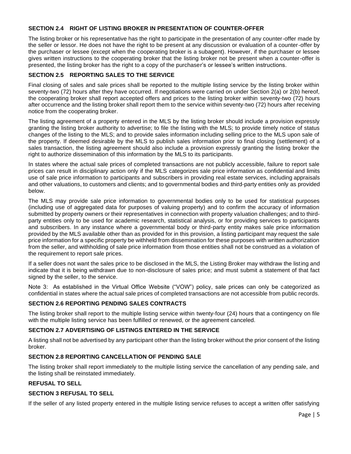### **SECTION 2.4 RIGHT OF LISTING BROKER IN PRESENTATION OF COUNTER-OFFER**

The listing broker or his representative has the right to participate in the presentation of any counter-offer made by the seller or lessor. He does not have the right to be present at any discussion or evaluation of a counter-offer by the purchaser or lessee (except when the cooperating broker is a subagent). However, if the purchaser or lessee gives written instructions to the cooperating broker that the listing broker not be present when a counter-offer is presented, the listing broker has the right to a copy of the purchaser's or lessee's written instructions.

### **SECTION 2.5 REPORTING SALES TO THE SERVICE**

Final closing of sales and sale prices shall be reported to the multiple listing service by the listing broker within seventy-two (72) hours after they have occurred. If negotiations were carried on under Section 2(a) or 2(b) hereof, the cooperating broker shall report accepted offers and prices to the listing broker within seventy-two (72) hours after occurrence and the listing broker shall report them to the service within seventy-two (72) hours after receiving notice from the cooperating broker.

The listing agreement of a property entered in the MLS by the listing broker should include a provision expressly granting the listing broker authority to advertise; to file the listing with the MLS; to provide timely notice of status changes of the listing to the MLS; and to provide sales information including selling price to the MLS upon sale of the property. If deemed desirable by the MLS to publish sales information prior to final closing (settlement) of a sales transaction, the listing agreement should also include a provision expressly granting the listing broker the right to authorize dissemination of this information by the MLS to its participants.

In states where the actual sale prices of completed transactions are not publicly accessible, failure to report sale prices can result in disciplinary action only if the MLS categorizes sale price information as confidential and limits use of sale price information to participants and subscribers in providing real estate services, including appraisals and other valuations, to customers and clients; and to governmental bodies and third-party entities only as provided below.

The MLS may provide sale price information to governmental bodies only to be used for statistical purposes (including use of aggregated data for purposes of valuing property) and to confirm the accuracy of information submitted by property owners or their representatives in connection with property valuation challenges; and to thirdparty entities only to be used for academic research, statistical analysis, or for providing services to participants and subscribers. In any instance where a governmental body or third-party entity makes sale price information provided by the MLS available other than as provided for in this provision, a listing participant may request the sale price information for a specific property be withheld from dissemination for these purposes with written authorization from the seller, and withholding of sale price information from those entities shall not be construed as a violation of the requirement to report sale prices.

If a seller does not want the sales price to be disclosed in the MLS, the Listing Broker may withdraw the listing and indicate that it is being withdrawn due to non-disclosure of sales price; and must submit a statement of that fact signed by the seller, to the service.

Note 3: As established in the Virtual Office Website ("VOW") policy, sale prices can only be categorized as confidential in states where the actual sale prices of completed transactions are not accessible from public records.

### **SECTION 2.6 REPORTING PENDING SALES CONTRACTS**

The listing broker shall report to the multiple listing service within twenty-four (24) hours that a contingency on file with the multiple listing service has been fulfilled or renewed, or the agreement canceled.

### **SECTION 2.7 ADVERTISING OF LISTINGS ENTERED IN THE SERVICE**

A listing shall not be advertised by any participant other than the listing broker without the prior consent of the listing broker.

### **SECTION 2.8 REPORTING CANCELLATION OF PENDING SALE**

The listing broker shall report immediately to the multiple listing service the cancellation of any pending sale, and the listing shall be reinstated immediately.

#### **REFUSAL TO SELL**

### **SECTION 3 REFUSAL TO SELL**

If the seller of any listed property entered in the multiple listing service refuses to accept a written offer satisfying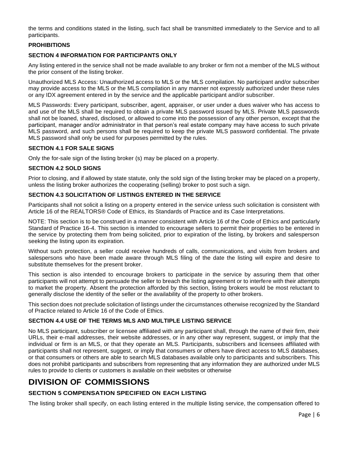the terms and conditions stated in the listing, such fact shall be transmitted immediately to the Service and to all participants.

### **PROHIBITIONS**

### **SECTION 4 INFORMATION FOR PARTICIPANTS ONLY**

Any listing entered in the service shall not be made available to any broker or firm not a member of the MLS without the prior consent of the listing broker.

Unauthorized MLS Access: Unauthorized access to MLS or the MLS compilation. No participant and/or subscriber may provide access to the MLS or the MLS compilation in any manner not expressly authorized under these rules or any IDX agreement entered in by the service and the applicable participant and/or subscriber.

MLS Passwords: Every participant, subscriber, agent, appraiser, or user under a dues waiver who has access to and use of the MLS shall be required to obtain a private MLS password issued by MLS. Private MLS passwords shall not be loaned, shared, disclosed, or allowed to come into the possession of any other person, except that the participant, manager and/or administrator in that person's real estate company may have access to such private MLS password, and such persons shall be required to keep the private MLS password confidential. The private MLS password shall only be used for purposes permitted by the rules.

### **SECTION 4.1 FOR SALE SIGNS**

Only the for-sale sign of the listing broker (s) may be placed on a property.

#### **SECTION 4.2 SOLD SIGNS**

Prior to closing, and if allowed by state statute, only the sold sign of the listing broker may be placed on a property, unless the listing broker authorizes the cooperating (selling) broker to post such a sign.

#### **SECTION 4.3 SOLICITATION OF LISTINGS ENTERED IN THE SERVICE**

Participants shall not solicit a listing on a property entered in the service unless such solicitation is consistent with Article 16 of the REALTORS® Code of Ethics, its Standards of Practice and its Case Interpretations.

NOTE: This section is to be construed in a manner consistent with Article 16 of the Code of Ethics and particularly Standard of Practice 16-4. This section is intended to encourage sellers to permit their properties to be entered in the service by protecting them from being solicited, prior to expiration of the listing, by brokers and salesperson seeking the listing upon its expiration.

Without such protection, a seller could receive hundreds of calls, communications, and visits from brokers and salespersons who have been made aware through MLS filing of the date the listing will expire and desire to substitute themselves for the present broker.

This section is also intended to encourage brokers to participate in the service by assuring them that other participants will not attempt to persuade the seller to breach the listing agreement or to interfere with their attempts to market the property. Absent the protection afforded by this section, listing brokers would be most reluctant to generally disclose the identity of the seller or the availability of the property to other brokers.

This section does not preclude solicitation of listings under the circumstances otherwise recognized by the Standard of Practice related to Article 16 of the Code of Ethics.

### **SECTION 4.4 USE OF THE TERMS MLS AND MULTIPLE LISTING SERVICE**

No MLS participant, subscriber or licensee affiliated with any participant shall, through the name of their firm, their URLs, their e-mail addresses, their website addresses, or in any other way represent, suggest, or imply that the individual or firm is an MLS, or that they operate an MLS. Participants, subscribers and licensees affiliated with participants shall not represent, suggest, or imply that consumers or others have direct access to MLS databases, or that consumers or others are able to search MLS databases available only to participants and subscribers. This does not prohibit participants and subscribers from representing that any information they are authorized under MLS rules to provide to clients or customers is available on their websites or otherwise

### **DIVISION OF COMMISSIONS**

### **SECTION 5 COMPENSATION SPECIFIED ON EACH LISTING**

The listing broker shall specify, on each listing entered in the multiple listing service, the compensation offered to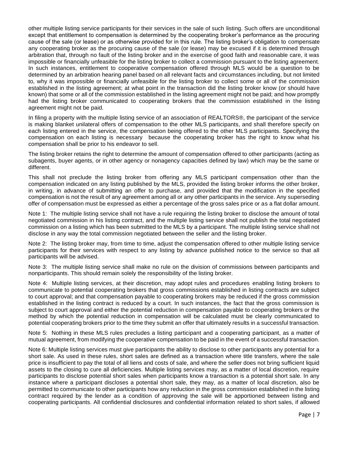other multiple listing service participants for their services in the sale of such listing. Such offers are unconditional except that entitlement to compensation is determined by the cooperating broker's performance as the procuring cause of the sale (or lease) or as otherwise provided for in this rule. The listing broker's obligation to compensate any cooperating broker as the procuring cause of the sale (or lease) may be excused if it is determined through arbitration that, through no fault of the listing broker and in the exercise of good faith and reasonable care, it was impossible or financially unfeasible for the listing broker to collect a commission pursuant to the listing agreement. In such instances, entitlement to cooperative compensation offered through MLS would be a question to be determined by an arbitration hearing panel based on all relevant facts and circumstances including, but not limited to, why it was impossible or financially unfeasible for the listing broker to collect some or all of the commission established in the listing agreement; at what point in the transaction did the listing broker know (or should have known) that some or all of the commission established in the listing agreement might not be paid; and how promptly had the listing broker communicated to cooperating brokers that the commission established in the listing agreement might not be paid.

In filing a property with the multiple listing service of an association of REALTORS®, the participant of the service is making blanket unilateral offers of compensation to the other MLS participants, and shall therefore specify on each listing entered in the service, the compensation being offered to the other MLS participants. Specifying the compensation on each listing is necessary because the cooperating broker has the right to know what his compensation shall be prior to his endeavor to sell.

The listing broker retains the right to determine the amount of compensation offered to other participants (acting as subagents, buyer agents, or in other agency or nonagency capacities defined by law) which may be the same or different.

This shall not preclude the listing broker from offering any MLS participant compensation other than the compensation indicated on any listing published by the MLS, provided the listing broker informs the other broker, in writing, in advance of submitting an offer to purchase, and provided that the modification in the specified compensation is not the result of any agreement among all or any other participants in the service. Any superseding offer of compensation must be expressed as either a percentage of the gross sales price or as a flat dollar amount.

Note 1: The multiple listing service shall not have a rule requiring the listing broker to disclose the amount of total negotiated commission in his listing contract, and the multiple listing service shall not publish the total negotiated commission on a listing which has been submitted to the MLS by a participant. The multiple listing service shall not disclose in any way the total commission negotiated between the seller and the listing broker.

Note 2: The listing broker may, from time to time, adjust the compensation offered to other multiple listing service participants for their services with respect to any listing by advance published notice to the service so that all participants will be advised.

Note 3: The multiple listing service shall make no rule on the division of commissions between participants and nonparticipants. This should remain solely the responsibility of the listing broker.

Note 4: Multiple listing services, at their discretion, may adopt rules and procedures enabling listing brokers to communicate to potential cooperating brokers that gross commissions established in listing contracts are subject to court approval; and that compensation payable to cooperating brokers may be reduced if the gross commission established in the listing contract is reduced by a court. In such instances, the fact that the gross commission is subject to court approval and either the potential reduction in compensation payable to cooperating brokers or the method by which the potential reduction in compensation will be calculated must be clearly communicated to potential cooperating brokers prior to the time they submit an offer that ultimately results in a successful transaction.

Note 5: Nothing in these MLS rules precludes a listing participant and a cooperating participant, as a matter of mutual agreement, from modifying the cooperative compensation to be paid in the event of a successful transaction.

Note 6: Multiple listing services must give participants the ability to disclose to other participants any potential for a short sale. As used in these rules, short sales are defined as a transaction where title transfers, where the sale price is insufficient to pay the total of all liens and costs of sale, and where the seller does not bring sufficient liquid assets to the closing to cure all deficiencies. Multiple listing services may, as a matter of local discretion, require participants to disclose potential short sales when participants know a transaction is a potential short sale. In any instance where a participant discloses a potential short sale, they may, as a matter of local discretion, also be permitted to communicate to other participants how any reduction in the gross commission established in the listing contract required by the lender as a condition of approving the sale will be apportioned between listing and cooperating participants. All confidential disclosures and confidential information related to short sales, if allowed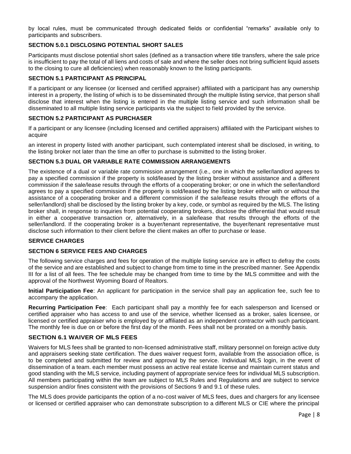by local rules, must be communicated through dedicated fields or confidential "remarks" available only to participants and subscribers.

### **SECTION 5.0.1 DISCLOSING POTENTIAL SHORT SALES**

Participants must disclose potential short sales (defined as a transaction where title transfers, where the sale price is insufficient to pay the total of all liens and costs of sale and where the seller does not bring sufficient liquid assets to the closing to cure all deficiencies) when reasonably known to the listing participants.

### **SECTION 5.1 PARTICIPANT AS PRINCIPAL**

If a participant or any licensee (or licensed and certified appraiser) affiliated with a participant has any ownership interest in a property, the listing of which is to be disseminated through the multiple listing service, that person shall disclose that interest when the listing is entered in the multiple listing service and such information shall be disseminated to all multiple listing service participants via the subject to field provided by the service.

### **SECTION 5.2 PARTICIPANT AS PURCHASER**

If a participant or any licensee (including licensed and certified appraisers) affiliated with the Participant wishes to acquire

an interest in property listed with another participant, such contemplated interest shall be disclosed, in writing, to the listing broker not later than the time an offer to purchase is submitted to the listing broker.

### **SECTION 5.3 DUAL OR VARIABLE RATE COMMISSION ARRANGEMENTS**

The existence of a dual or variable rate commission arrangement (i.e., one in which the seller/landlord agrees to pay a specified commission if the property is sold/leased by the listing broker without assistance and a different commission if the sale/lease results through the efforts of a cooperating broker; or one in which the seller/landlord agrees to pay a specified commission if the property is sold/leased by the listing broker either with or without the assistance of a cooperating broker and a different commission if the sale/lease results through the efforts of a seller/landlord) shall be disclosed by the listing broker by a key, code, or symbol as required by the MLS. The listing broker shall, in response to inquiries from potential cooperating brokers, disclose the differential that would result in either a cooperative transaction or, alternatively, in a sale/lease that results through the efforts of the seller/landlord. If the cooperating broker is a buyer/tenant representative, the buyer/tenant representative must disclose such information to their client before the client makes an offer to purchase or lease.

### **SERVICE CHARGES**

### **SECTION 6 SERVICE FEES AND CHARGES**

The following service charges and fees for operation of the multiple listing service are in effect to defray the costs of the service and are established and subject to change from time to time in the prescribed manner. See Appendix III for a list of all fees. The fee schedule may be changed from time to time by the MLS committee and with the approval of the Northwest Wyoming Board of Realtors.

**Initial Participation Fee**: An applicant for participation in the service shall pay an application fee, such fee to accompany the application.

**Recurring Participation Fee**: Each participant shall pay a monthly fee for each salesperson and licensed or certified appraiser who has access to and use of the service, whether licensed as a broker, sales licensee, or licensed or certified appraiser who is employed by or affiliated as an independent contractor with such participant. The monthly fee is due on or before the first day of the month. Fees shall not be prorated on a monthly basis.

### **SECTION 6.1 WAIVER OF MLS FEES**

Waivers for MLS fees shall be granted to non-licensed administrative staff, military personnel on foreign active duty and appraisers seeking state certification. The dues waiver request form, available from the association office, is to be completed and submitted for review and approval by the service. Individual MLS login, in the event of dissemination of a team. each member must possess an active real estate license and maintain current status and good standing with the MLS service, including payment of appropriate service fees for individual MLS subscription. All members participating within the team are subject to MLS Rules and Regulations and are subject to service suspension and/or fines consistent with the provisions of Sections 9 and 9.1 of these rules.

The MLS does provide participants the option of a no-cost waiver of MLS fees, dues and chargers for any licensee or licensed or certified appraiser who can demonstrate subscription to a different MLS or CIE where the principal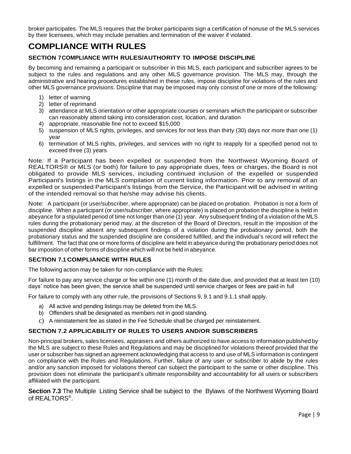broker participates. The MLS requires that the broker participants sign a certification of nonuse of the MLS services by their licensees, which may include penalties and termination of the waiver if violated.

### **COMPLIANCE WITH RULES**

### **SECTION 7COMPLIANCE WITH RULES/AUTHORITY TO IMPOSE DISCIPLINE**

By becoming and remaining a participant or subscriber in this MLS, each participant and subscriber agrees to be subject to the rules and regulations and any other MLS governance provision. The MLS may, through the administrative and hearing procedures established in these rules, impose discipline for violations of the rules and other MLS governance provisions. Discipline that may be imposed may only consist of one or more of the following:

- 1) letter of warning
- 2) letter of reprimand
- 3) attendance at MLS orientation or other appropriate courses or seminars which the participant or subscriber can reasonably attend taking into consideration cost, location, and duration
- 4) appropriate, reasonable fine not to exceed \$15,000
- 5) suspension of MLS rights, privileges, and services for not less than thirty (30) days nor more than one (1) year
- 6) termination of MLS rights, privileges, and services with no right to reapply for a specified period not to exceed three (3) years

Note: If a Participant has been expelled or suspended from the Northwest Wyoming Board of REALTORS® or MLS (or both) for failure to pay appropriate dues, fees or charges, the Board is not obligated to provide MLS services, including continued inclusion of the expelled or suspended Participant's listings in the MLS compilation of current listing information. Prior to any removal of an expelled or suspended Participant's listings from the Service, the Participant will be advised in writing of the intended removal so that he/she may advise his clients.

Note: A participant (or user/subscriber, where appropriate) can be placed on probation. Probation is not a form of discipline. When a participant (or user/subscriber, where appropriate) is placed on probation the discipline is held in abeyance for a stipulated period of time not longer than one (1) year. Any subsequent finding of a violation of the MLS rules during the probationary period may, at the discretion of the Board of Directors, result in the imposition of the suspended discipline absent any subsequent findings of a violation during the probationary period, both the probationary status and the suspended discipline are considered fulfilled, and the individual's record will reflect the fulfillment. The fact that one or more forms of discipline are held in abeyance during the probationary period does not bar imposition of other forms of discipline which will not be held in abeyance.

### **SECTION 7.1 COMPLIANCE WITH RULES**

The following action may be taken for non-compliance with the Rules:

For failure to pay any service charge or fee within one (1) month of the date due, and provided that at least ten (10) days' notice has been given, the service shall be suspended until service charges or fees are paid in full

For failure to comply with any other rule, the provisions of Sections 9, 9.1 and 9.1.1 shall apply.

- a) All active and pending listings may be deleted from the MLS.
- b) Offenders shall be designated as members not in good standing.
- c) A reinstatement fee as stated in the Fee Schedule shall be charged per reinstatement.

### **SECTION 7.2 APPLICABILITY OF RULES TO USERS AND/OR SUBSCRIBERS**

Non-principal brokers, sales licensees, appraisers and others authorized to have access to information published by the MLS are subject to these Rules and Regulations and may be disciplined for violations thereof provided that the user or subscriber has signed an agreement acknowledging that access to and use of MLS information is contingent on compliance with the Rules and Regulations. Further, failure of any user or subscriber to abide by the rules and/or any sanction imposed for violations thereof can subject the participant to the same or other discipline. This provision does not eliminate the participant's ultimate responsibility and accountability for all users or subscribers affiliated with the participant.

**Section 7.3** The Multiple Listing Service shall be subject to the Bylaws of the Northwest Wyoming Board of REALTORS® .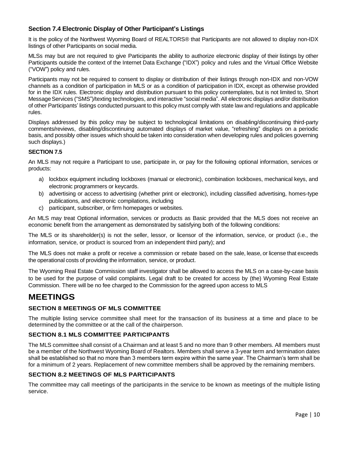### **Section 7.4 Electronic Display of Other Participant's Listings**

It is the policy of the Northwest Wyoming Board of REALTORS® that Participants are not allowed to display non-IDX listings of other Participants on social media.

MLSs may but are not required to give Participants the ability to authorize electronic display of their listings by other Participants outside the context of the Internet Data Exchange ("IDX") policy and rules and the Virtual Office Website ("VOW") policy and rules.

Participants may not be required to consent to display or distribution of their listings through non-IDX and non-VOW channels as a condition of participation in MLS or as a condition of participation in IDX, except as otherwise provided for in the IDX rules. Electronic display and distribution pursuant to this policy contemplates, but is not limited to, Short Message Services ("SMS")/texting technologies, and interactive "social media". All electronic displays and/or distribution of other Participants' listings conducted pursuant to this policy must comply with state law and regulations and applicable rules.

Displays addressed by this policy may be subject to technological limitations on disabling/discontinuing third-party comments/reviews, disabling/discontinuing automated displays of market value, "refreshing" displays on a periodic basis, and possibly other issues which should be taken into consideration when developing rules and policies governing such displays.)

### **SECTION 7.5**

An MLS may not require a Participant to use, participate in, or pay for the following optional information, services or products:

- a) lockbox equipment including lockboxes (manual or electronic), combination lockboxes, mechanical keys, and electronic programmers or keycards.
- b) advertising or access to advertising (whether print or electronic), including classified advertising, homes-type publications, and electronic compilations, including
- c) participant, subscriber, or firm homepages or websites.

An MLS may treat Optional information, services or products as Basic provided that the MLS does not receive an economic benefit from the arrangement as demonstrated by satisfying both of the following conditions:

The MLS or its shareholder(s) is not the seller, lessor, or licensor of the information, service, or product (i.e., the information, service, or product is sourced from an independent third party); and

The MLS does not make a profit or receive a commission or rebate based on the sale, lease, or license that exceeds the operational costs of providing the information, service, or product.

The Wyoming Real Estate Commission staff investigator shall be allowed to access the MLS on a case-by-case basis to be used for the purpose of valid complaints. Legal draft to be created for access by (the) Wyoming Real Estate Commission. There will be no fee charged to the Commission for the agreed upon access to MLS

### **MEETINGS**

### **SECTION 8 MEETINGS OF MLS COMMITTEE**

The multiple listing service committee shall meet for the transaction of its business at a time and place to be determined by the committee or at the call of the chairperson.

### **SECTION 8.1 MLS COMMITTEE PARTICIPANTS**

The MLS committee shall consist of a Chairman and at least 5 and no more than 9 other members. All members must be a member of the Northwest Wyoming Board of Realtors. Members shall serve a 3-year term and termination dates shall be established so that no more than 3 members term expire within the same year. The Chairman's term shall be for a minimum of 2 years. Replacement of new committee members shall be approved by the remaining members.

### **SECTION 8.2 MEETINGS OF MLS PARTICIPANTS**

The committee may call meetings of the participants in the service to be known as meetings of the multiple listing service.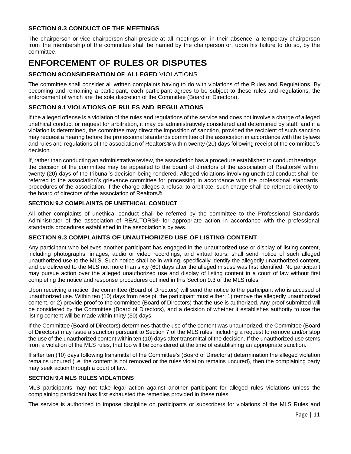### **SECTION 8.3 CONDUCT OF THE MEETINGS**

The chairperson or vice chairperson shall preside at all meetings or, in their absence, a temporary chairperson from the membership of the committee shall be named by the chairperson or, upon his failure to do so, by the committee.

### **ENFORCEMENT OF RULES OR DISPUTES**

### **SECTION 9CONSIDERATION OF ALLEGED** VIOLATIONS

The committee shall consider all written complaints having to do with violations of the Rules and Regulations. By becoming and remaining a participant, each participant agrees to be subject to these rules and regulations, the enforcement of which are the sole discretion of the Committee (Board of Directors).

### **SECTION 9.1 VIOLATIONS OF RULES AND REGULATIONS**

If the alleged offense is a violation of the rules and regulations of the service and does not involve a charge of alleged unethical conduct or request for arbitration, it may be administratively considered and determined by staff, and if a violation is determined, the committee may direct the imposition of sanction, provided the recipient of such sanction may request a hearing before the professional standards committee of the association in accordance with the bylaws and rules and regulations of the association of Realtors® within twenty (20) days following receipt of the committee's decision.

If, rather than conducting an administrative review, the association has a procedure established to conduct hearings, the decision of the committee may be appealed to the board of directors of the association of Realtors® within twenty (20) days of the tribunal's decision being rendered. Alleged violations involving unethical conduct shall be referred to the association's grievance committee for processing in accordance with the professional standards procedures of the association. If the charge alleges a refusal to arbitrate, such charge shall be referred directly to the board of directors of the association of Realtors®.

### **SECTION 9.2 COMPLAINTS OF UNETHICAL CONDUCT**

All other complaints of unethical conduct shall be referred by the committee to the Professional Standards Administrator of the association of REALTORS® for appropriate action in accordance with the professional standards procedures established in the association's bylaws.

### **SECTION 9.3 COMPLAINTS OF UNAUTHORIZED USE OF LISTING CONTENT**

Any participant who believes another participant has engaged in the unauthorized use or display of listing content, including photographs, images, audio or video recordings, and virtual tours, shall send notice of such alleged unauthorized use to the MLS. Such notice shall be in writing, specifically identify the allegedly unauthorized content, and be delivered to the MLS not more than sixty (60) days after the alleged misuse was first identified. No participant may pursue action over the alleged unauthorized use and display of listing content in a court of law without first completing the notice and response procedures outlined in this Section 9.3 of the MLS rules.

Upon receiving a notice, the committee (Board of Directors) will send the notice to the participant who is accused of unauthorized use. Within ten (10) days from receipt, the participant must either: 1) remove the allegedly unauthorized content, or 2) provide proof to the committee (Board of Directors) that the use is authorized. Any proof submitted will be considered by the Committee (Board of Directors), and a decision of whether it establishes authority to use the listing content will be made within thirty (30) days.

If the Committee (Board of Directors) determines that the use of the content was unauthorized, the Committee (Board of Directors) may issue a sanction pursuant to Section 7 of the MLS rules, including a request to remove and/or stop the use of the unauthorized content within ten (10) days after transmittal of the decision. If the unauthorized use stems from a violation of the MLS rules, that too will be considered at the time of establishing an appropriate sanction.

If after ten (10) days following transmittal of the Committee's (Board of Director's) determination the alleged violation remains uncured (i.e. the content is not removed or the rules violation remains uncured), then the complaining party may seek action through a court of law.

### **SECTION 9.4 MLS RULES VIOLATIONS**

MLS participants may not take legal action against another participant for alleged rules violations unless the complaining participant has first exhausted the remedies provided in these rules.

The service is authorized to impose discipline on participants or subscribers for violations of the MLS Rules and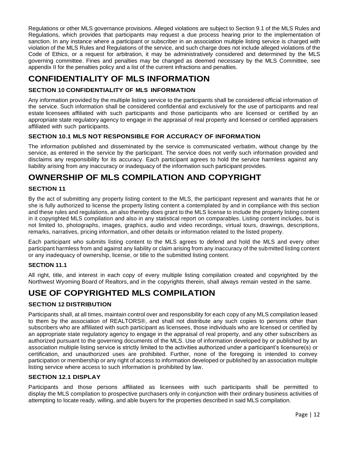Regulations or other MLS governance provisions. Alleged violations are subject to Section 9.1 of the MLS Rules and Regulations, which provides that participants may request a due process hearing prior to the implementation of sanction. In any instance where a participant or subscriber in an association multiple listing service is charged with violation of the MLS Rules and Regulations of the service, and such charge does not include alleged violations of the Code of Ethics, or a request for arbitration, it may be administratively considered and determined by the MLS governing committee. Fines and penalties may be changed as deemed necessary by the MLS Committee, see appendix II for the penalties policy and a list of the current infractions and penalties.

### **CONFIDENTIALITY OF MLS INFORMATION**

### **SECTION 10 CONFIDENTIALITY OF MLS INFORMATION**

Any information provided by the multiple listing service to the participants shall be considered official information of the service. Such information shall be considered confidential and exclusively for the use of participants and real estate licensees affiliated with such participants and those participants who are licensed or certified by an appropriate state regulatory agency to engage in the appraisal of real property and licensed or certified appraisers affiliated with such participants.

### **SECTION 10.1 MLS NOT RESPONSIBLE FOR ACCURACY OF INFORMATION**

The information published and disseminated by the service is communicated verbatim, without change by the service, as entered in the service by the participant. The service does not verify such information provided and disclaims any responsibility for its accuracy. Each participant agrees to hold the service harmless against any liability arising from any inaccuracy or inadequacy of the information such participant provides.

### **OWNERSHIP OF MLS COMPILATION AND COPYRIGHT**

### **SECTION 11**

By the act of submitting any property listing content to the MLS, the participant represent and warrants that he or she is fully authorized to license the property listing content a contemplated by and in compliance with this section and these rules and regulations, an also thereby does grant to the MLS license to include the property listing content in it copyrighted MLS compilation and also in any statistical report on comparables. Listing content includes, but is not limited to, photographs, images, graphics, audio and video recordings, virtual tours, drawings, descriptions, remarks, narratives, pricing information, and other details or information related to the listed property.

Each participant who submits listing content to the MLS agrees to defend and hold the MLS and every other participant harmless from and against any liability or claim arising from any inaccuracy of the submitted listing content or any inadequacy of ownership, license, or title to the submitted listing content.

### **SECTION 11.1**

All right, title, and interest in each copy of every multiple listing compilation created and copyrighted by the Northwest Wyoming Board of Realtors, and in the copyrights therein, shall always remain vested in the same.

### **USE OF COPYRIGHTED MLS COMPILATION**

### **SECTION 12 DISTRIBUTION**

Participants shall, at all times, maintain control over and responsibility for each copy of any MLS compilation leased to them by the association of REALTORS®, and shall not distribute any such copies to persons other than subscribers who are affiliated with such participant as licensees, those individuals who are licensed or certified by an appropriate state regulatory agency to engage in the appraisal of real property, and any other subscribers as authorized pursuant to the governing documents of the MLS. Use of information developed by or published by an association multiple listing service is strictly limited to the activities authorized under a participant's licensure(s) or certification, and unauthorized uses are prohibited. Further, none of the foregoing is intended to convey participation or membership or any right of access to information developed or published by an association multiple listing service where access to such information is prohibited by law.

### **SECTION 12.1 DISPLAY**

Participants and those persons affiliated as licensees with such participants shall be permitted to display the MLS compilation to prospective purchasers only in conjunction with their ordinary business activities of attempting to locate ready, willing, and able buyers for the properties described in said MLS compilation.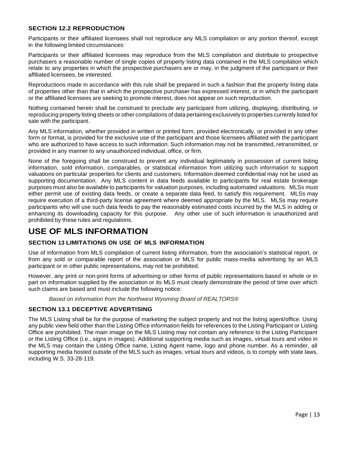### **SECTION 12.2 REPRODUCTION**

Participants or their affiliated licensees shall not reproduce any MLS compilation or any portion thereof, except in the following limited circumstances:

Participants or their affiliated licensees may reproduce from the MLS compilation and distribute to prospective purchasers a reasonable number of single copies of property listing data contained in the MLS compilation which relate to any properties in which the prospective purchasers are or may, in the judgment of the participant or their affiliated licensees, be interested.

Reproductions made in accordance with this rule shall be prepared in such a fashion that the property listing data of properties other than that in which the prospective purchaser has expressed interest, or in which the participant or the affiliated licensees are seeking to promote interest, does not appear on such reproduction.

Nothing contained herein shall be construed to preclude any participant from utilizing, displaying, distributing, or reproducing property listing sheets or other compilations of data pertaining exclusively to properties currently listed for sale with the participant.

Any MLS information, whether provided in written or printed form, provided electronically, or provided in any other form or format, is provided for the exclusive use of the participant and those licensees affiliated with the participant who are authorized to have access to such information. Such information may not be transmitted, retransmitted, or provided in any manner to any unauthorized individual, office, or firm.

None of the foregoing shall be construed to prevent any individual legitimately in possession of current listing information, sold information, comparables, or statistical information from utilizing such information to support valuations on particular properties for clients and customers. Information deemed confidential may not be used as supporting documentation. Any MLS content in data feeds available to participants for real estate brokerage purposes must also be available to participants for valuation purposes, including automated valuations. MLSs must either permit use of existing data feeds, or create a separate data feed, to satisfy this requirement. MLSs may require execution of a third-party license agreement where deemed appropriate by the MLS. MLSs may require participants who will use such data feeds to pay the reasonably estimated costs incurred by the MLS in adding or enhancing its downloading capacity for this purpose. Any other use of such information is unauthorized and prohibited by these rules and regulations.

### **USE OF MLS INFORMATION**

### **SECTION 13 LIMITATIONS ON USE OF MLS INFORMATION**

Use of information from MLS compilation of current listing information, from the association's statistical report, or from any sold or comparable report of the association or MLS for public mass-media advertising by an MLS participant or in other public representations, may not be prohibited.

However, any print or non-print forms of advertising or other forms of public representations based in whole or in part on information supplied by the association or its MLS must clearly demonstrate the period of time over which such claims are based and must include the following notice:

*Based on information from the Northwest Wyoming Board of REALTORS®*

### **SECTION 13.1 DECEPTIVE ADVERTISING**

The MLS Listing shall be for the purpose of marketing the subject property and not the listing agent/office. Using any public view field other than the Listing Office information fields for references to the Listing Participant or Listing Office are prohibited. The main image on the MLS Listing may not contain any reference to the Listing Participant or the Listing Office (i.e., signs in images). Additional supporting media such as images, virtual tours and video in the MLS may contain the Listing Office name, Listing Agent name, logo and phone number. As a reminder, all supporting media hosted outside of the MLS such as images, virtual tours and videos, is to comply with state laws, including W.S. 33-28-119.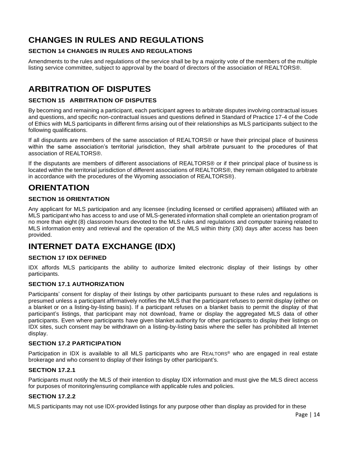### **CHANGES IN RULES AND REGULATIONS**

### **SECTION 14 CHANGES IN RULES AND REGULATIONS**

Amendments to the rules and regulations of the service shall be by a majority vote of the members of the multiple listing service committee, subject to approval by the board of directors of the association of REALTORS®.

### **ARBITRATION OF DISPUTES**

### **SECTION 15 ARBITRATION OF DISPUTES**

By becoming and remaining a participant, each participant agrees to arbitrate disputes involving contractual issues and questions, and specific non-contractual issues and questions defined in Standard of Practice 17-4 of the Code of Ethics with MLS participants in different firms arising out of their relationships as MLS participants subject to the following qualifications.

If all disputants are members of the same association of REALTORS® or have their principal place of business within the same association's territorial jurisdiction, they shall arbitrate pursuant to the procedures of that association of REALTORS®.

If the disputants are members of different associations of REALTORS® or if their principal place of business is located within the territorial jurisdiction of different associations of REALTORS®, they remain obligated to arbitrate in accordance with the procedures of the Wyoming association of REALTORS®).

### **ORIENTATION**

### **SECTION 16 ORIENTATION**

Any applicant for MLS participation and any licensee (including licensed or certified appraisers) affiliated with an MLS participant who has access to and use of MLS-generated information shall complete an orientation program of no more than eight (8) classroom hours devoted to the MLS rules and regulations and computer training related to MLS information entry and retrieval and the operation of the MLS within thirty (30) days after access has been provided.

### **INTERNET DATA EXCHANGE (IDX)**

### **SECTION 17 IDX DEFINED**

IDX affords MLS participants the ability to authorize limited electronic display of their listings by other participants.

### **SECTION 17.1 AUTHORIZATION**

Participants' consent for display of their listings by other participants pursuant to these rules and regulations is presumed unless a participant affirmatively notifies the MLS that the participant refuses to permit display (either on a blanket or on a listing-by-listing basis). If a participant refuses on a blanket basis to permit the display of that participant's listings, that participant may not download, frame or display the aggregated MLS data of other participants. Even where participants have given blanket authority for other participants to display their listings on IDX sites, such consent may be withdrawn on a listing-by-listing basis where the seller has prohibited all Internet display.

### **SECTION 17.2 PARTICIPATION**

Participation in IDX is available to all MLS participants who are REALTORS® who are engaged in real estate brokerage and who consent to display of their listings by other participant's.

### **SECTION 17.2.1**

Participants must notify the MLS of their intention to display IDX information and must give the MLS direct access for purposes of monitoring/ensuring compliance with applicable rules and policies.

### **SECTION 17.2.2**

MLS participants may not use IDX-provided listings for any purpose other than display as provided for in these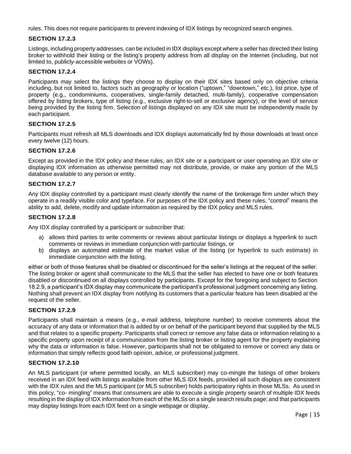rules. This does not require participants to prevent indexing of IDX listings by recognized search engines.

### **SECTION 17.2.3**

Listings, including property addresses, can be included in IDX displays except where a seller has directed their listing broker to withhold their listing or the listing's property address from all display on the Internet (including, but not limited to, publicly-accessible websites or VOWs).

### **SECTION 17.2.4**

Participants may select the listings they choose to display on their IDX sites based only on objective criteria including, but not limited to, factors such as geography or location ("uptown," "downtown," etc.), list price, type of property (e.g., condominiums, cooperatives, single-family detached, multi-family), cooperative compensation offered by listing brokers, type of listing (e.g., exclusive right-to-sell or exclusive agency), or the level of service being provided by the listing firm. Selection of listings displayed on any IDX site must be independently made by each participant.

### **SECTION 17.2.5**

Participants must refresh all MLS downloads and IDX displays automatically fed by those downloads at least once every twelve (12) hours.

### **SECTION 17.2.6**

Except as provided in the IDX policy and these rules, an IDX site or a participant or user operating an IDX site or displaying IDX information as otherwise permitted may not distribute, provide, or make any portion of the MLS database available to any person or entity.

### **SECTION 17.2.7**

Any IDX display controlled by a participant must clearly identify the name of the brokerage firm under which they operate in a readily visible color and typeface. For purposes of the IDX policy and these rules, "control" means the ability to add, delete, modify and update information as required by the IDX policy and MLS rules.

#### **SECTION 17.2.8**

Any IDX display controlled by a participant or subscriber that:

- a) allows third parties to write comments or reviews about particular listings or displays a hyperlink to such comments or reviews in immediate conjunction with particular listings, or
- b) displays an automated estimate of the market value of the listing (or hyperlink to such estimate) in immediate conjunction with the listing,

either or both of those features shall be disabled or discontinued for the seller's listings at the request of the seller. The listing broker or agent shall communicate to the MLS that the seller has elected to have one or both features disabled or discontinued on all displays controlled by participants. Except for the foregoing and subject to Section 18.2.9, a participant's IDX display may communicate the participant's professional judgment concerning any listing. Nothing shall prevent an IDX display from notifying its customers that a particular feature has been disabled at the request of the seller.

### **SECTION 17.2.9**

Participants shall maintain a means (e.g., e-mail address, telephone number) to receive comments about the accuracy of any data or information that is added by or on behalf of the participant beyond that supplied by the MLS and that relates to a specific property. Participants shall correct or remove any false data or information relating to a specific property upon receipt of a communication from the listing broker or listing agent for the property explaining why the data or information is false. However, participants shall not be obligated to remove or correct any data or information that simply reflects good faith opinion, advice, or professional judgment.

### **SECTION 17.2.10**

An MLS participant (or where permitted locally, an MLS subscriber) may co-mingle the listings of other brokers received in an IDX feed with listings available from other MLS IDX feeds, provided all such displays are consistent with the IDX rules and the MLS participant (or MLS subscriber) holds participatory rights in those MLSs. As used in this policy, "co- mingling" means that consumers are able to execute a single property search of multiple IDX feeds resulting in the display of IDX information from each of the MLSs on a single search results page; and that participants may display listings from each IDX feed on a single webpage or display.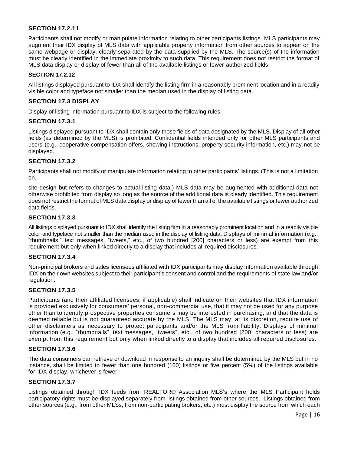### **SECTION 17.2.11**

Participants shall not modify or manipulate information relating to other participants listings. MLS participants may augment their IDX display of MLS data with applicable property information from other sources to appear on the same webpage or display, clearly separated by the data supplied by the MLS. The source(s) of the information must be clearly identified in the immediate proximity to such data. This requirement does not restrict the format of MLS data display or display of fewer than all of the available listings or fewer authorized fields.

### **SECTION 17.2.12**

All listings displayed pursuant to IDX shall identify the listing firm in a reasonably prominent location and in a readily visible color and typeface not smaller than the median used in the display of listing data.

#### **SECTION 17.3 DISPLAY**

Display of listing information pursuant to IDX is subject to the following rules:

#### **SECTION 17.3.1**

Listings displayed pursuant to IDX shall contain only those fields of data designated by the MLS. Display of all other fields (as determined by the MLS) is prohibited. Confidential fields intended only for other MLS participants and users (e.g., cooperative compensation offers, showing instructions, property security information, etc.) may not be displayed.

### **SECTION 17.3.2**

Participants shall not modify or manipulate information relating to other participants' listings. (This is not a limitation on.

site design but refers to changes to actual listing data.) MLS data may be augmented with additional data not otherwise prohibited from display so long as the source of the additional data is clearly identified. This requirement does not restrict the format of MLS data display or display of fewer than all of the available listings or fewer authorized data fields.

#### **SECTION 17.3.3**

All listings displayed pursuant to IDX shall identify the listing firm in a reasonably prominent location and in a readily visible color and typeface not smaller than the median used in the display of listing data. Displays of minimal information (e.g., "thumbnails," text messages, "tweets," etc., of two hundred [200] characters or less) are exempt from this requirement but only when linked directly to a display that includes all required disclosures.

### **SECTION 17.3.4**

Non-principal brokers and sales licensees affiliated with IDX participants may display information available through IDX on their own websites subject to their participant's consent and control and the requirements of state law and/or regulation.

### **SECTION 17.3.5**

Participants (and their affiliated licensees, if applicable) shall indicate on their websites that IDX information is provided exclusively for consumers' personal, non-commercial use, that it may not be used for any purpose other than to identify prospective properties consumers may be interested in purchasing, and that the data is deemed reliable but is not guaranteed accurate by the MLS. The MLS may, at its discretion, require use of other disclaimers as necessary to protect participants and/or the MLS from liability. Displays of minimal information (e.g., "thumbnails", text messages, "tweets", etc., of two hundred [200] characters or less) are exempt from this requirement but only when linked directly to a display that includes all required disclosures.

### **SECTION 17.3.6**

The data consumers can retrieve or download in response to an inquiry shall be determined by the MLS but in no instance, shall be limited to fewer than one hundred (100) listings or five percent (5%) of the listings available for IDX display, whichever is fewer.

### **SECTION 17.3.7**

Listings obtained through IDX feeds from REALTOR® Association MLS's where the MLS Participant holds participatory rights must be displayed separately from listings obtained from other sources. Listings obtained from other sources (e.g., from other MLSs, from non-participating brokers, etc.) must display the source from which each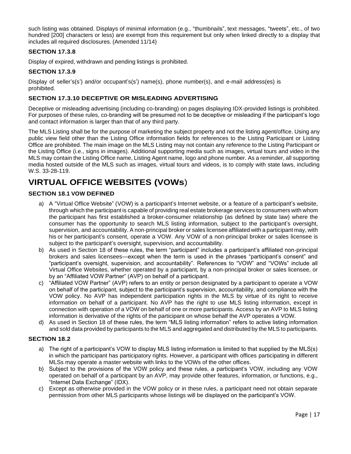such listing was obtained. Displays of minimal information (e.g., "thumbnails", text messages, "tweets", etc., of two hundred [200] characters or less) are exempt from this requirement but only when linked directly to a display that includes all required disclosures. (Amended 11/14)

### **SECTION 17.3.8**

Display of expired, withdrawn and pending listings is prohibited.

### **SECTION 17.3.9**

Display of seller's(s') and/or occupant's(s') name(s), phone number(s), and e-mail address(es) is prohibited.

### **SECTION 17.3.10 DECEPTIVE OR MISLEADING ADVERTISING**

Deceptive or misleading advertising (including co-branding) on pages displaying IDX-provided listings is prohibited. For purposes of these rules, co-branding will be presumed not to be deceptive or misleading if the participant's logo and contact information is larger than that of any third party.

The MLS Listing shall be for the purpose of marketing the subject property and not the listing agent/office. Using any public view field other than the Listing Office information fields for references to the Listing Participant or Listing Office are prohibited. The main image on the MLS Listing may not contain any reference to the Listing Participant or the Listing Office (i.e., signs in images). Additional supporting media such as images, virtual tours and video in the MLS may contain the Listing Office name, Listing Agent name, logo and phone number. As a reminder, all supporting media hosted outside of the MLS such as images, virtual tours and videos, is to comply with state laws, including W.S. 33-28-119.

### **VIRTUAL OFFICE WEBSITES (VOWs**)

### **SECTION 18.1 VOW DEFINED**

- a) A "Virtual Office Website" (VOW) is a participant's Internet website, or a feature of a participant's website, through which the participant is capable of providing real estate brokerage services to consumers with whom the participant has first established a broker-consumer relationship (as defined by state law) where the consumer has the opportunity to search MLS listing information, subject to the participant's oversight, supervision, and accountability. A non-principal broker or sales licensee affiliated with a participant may, with his or her participant's consent, operate a VOW. Any VOW of a non-principal broker or sales licensee is subject to the participant's oversight, supervision, and accountability.
- b) As used in Section 18 of these rules, the term "participant" includes a participant's affiliated non-principal brokers and sales licensees—except when the term is used in the phrases "participant's consent" and "participant's oversight, supervision, and accountability". References to "VOW" and "VOWs" include all Virtual Office Websites, whether operated by a participant, by a non-principal broker or sales licensee, or by an "Affiliated VOW Partner" (AVP) on behalf of a participant.
- c) "Affiliated VOW Partner" (AVP) refers to an entity or person designated by a participant to operate a VOW on behalf of the participant, subject to the participant's supervision, accountability, and compliance with the VOW policy. No AVP has independent participation rights in the MLS by virtue of its right to receive information on behalf of a participant. No AVP has the right to use MLS listing information, except in connection with operation of a VOW on behalf of one or more participants. Access by an AVP to MLS listing information is derivative of the rights of the participant on whose behalf the AVP operates a VOW.
- d) As used in Section 18 of these rules, the term "MLS listing information" refers to active listing information and sold data provided by participants to the MLS and aggregated and distributed by the MLS to participants.

### **SECTION 18.2**

- a) The right of a participant's VOW to display MLS listing information is limited to that supplied by the MLS(s) in which the participant has participatory rights. However, a participant with offices participating in different MLSs may operate a master website with links to the VOWs of the other offices.
- b) Subject to the provisions of the VOW policy and these rules, a participant's VOW, including any VOW operated on behalf of a participant by an AVP, may provide other features, information, or functions, e.g., "Internet Data Exchange" (IDX).
- c) Except as otherwise provided in the VOW policy or in these rules, a participant need not obtain separate permission from other MLS participants whose listings will be displayed on the participant's VOW.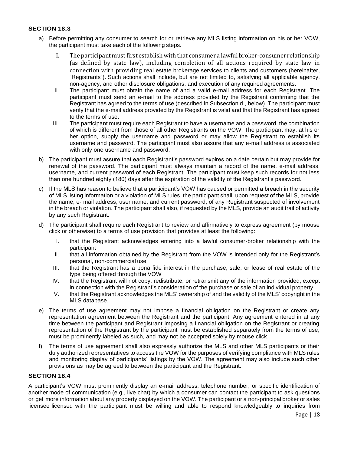### **SECTION 18.3**

- a) Before permitting any consumer to search for or retrieve any MLS listing information on his or her VOW, the participant must take each of the following steps.
	- I. The participantmustfirst establishwith that consumer a lawful broker-consumer relationship (as defined by state law), including completion of all actions required by state law in connection with providing real estate brokerage services to clients and customers (hereinafter, "Registrants"). Such actions shall include, but are not limited to, satisfying all applicable agency, non-agency, and other disclosure obligations, and execution of any required agreements.
	- II. The participant must obtain the name of and a valid e-mail address for each Registrant. The participant must send an e-mail to the address provided by the Registrant confirming that the Registrant has agreed to the terms of use (described in Subsection d., below). The participant must verify that the e-mail address provided by the Registrant is valid and that the Registrant has agreed to the terms of use.
	- III. The participant must require each Registrant to have a username and a password, the combination of which is different from those of all other Registrants on the VOW. The participant may, at his or her option, supply the username and password or may allow the Registrant to establish its username and password. The participant must also assure that any e-mail address is associated with only one username and password.
- b) The participant must assure that each Registrant's password expires on a date certain but may provide for renewal of the password. The participant must always maintain a record of the name, e-mail address, username, and current password of each Registrant. The participant must keep such records for not less than one hundred eighty (180) days after the expiration of the validity of the Registrant's password.
- c) If the MLS has reason to believe that a participant's VOW has caused or permitted a breach in the security of MLS listing information or a violation of MLS rules, the participant shall, upon request of the MLS, provide the name, e- mail address, user name, and current password, of any Registrant suspected of involvement in the breach or violation. The participant shall also, if requested by the MLS, provide an audit trail of activity by any such Registrant.
- d) The participant shall require each Registrant to review and affirmatively to express agreement (by mouse click or otherwise) to a terms of use provision that provides at least the following:
	- I. that the Registrant acknowledges entering into a lawful consumer-broker relationship with the participant
	- II. that all information obtained by the Registrant from the VOW is intended only for the Registrant's personal, non-commercial use
	- III. that the Registrant has a bona fide interest in the purchase, sale, or lease of real estate of the type being offered through the VOW
	- IV. that the Registrant will not copy, redistribute, or retransmit any of the information provided, except in connection with the Registrant's consideration of the purchase or sale of an individual property
	- V. that the Registrant acknowledges the MLS' ownership of and the validity of the MLS' copyright in the MLS database.
- e) The terms of use agreement may not impose a financial obligation on the Registrant or create any representation agreement between the Registrant and the participant. Any agreement entered in at any time between the participant and Registrant imposing a financial obligation on the Registrant or creating representation of the Registrant by the participant must be established separately from the terms of use, must be prominently labeled as such, and may not be accepted solely by mouse click.
- f) The terms of use agreement shall also expressly authorize the MLS and other MLS participants or their duly authorized representatives to access the VOW for the purposes of verifying compliance with MLS rules and monitoring display of participants' listings by the VOW. The agreement may also include such other provisions as may be agreed to between the participant and the Registrant.

### **SECTION 18.4**

A participant's VOW must prominently display an e-mail address, telephone number, or specific identification of another mode of communication (e.g., live chat) by which a consumer can contact the participant to ask questions or get more information about any property displayed on the VOW. The participant or a non-principal broker or sales licensee licensed with the participant must be willing and able to respond knowledgeably to inquiries from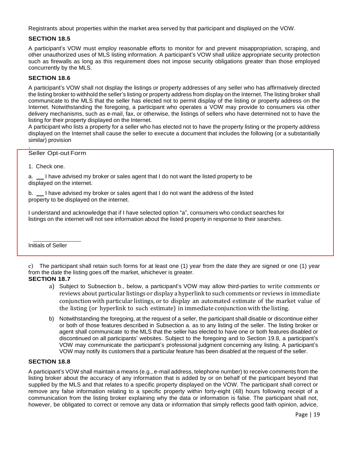Registrants about properties within the market area served by that participant and displayed on the VOW.

### **SECTION 18.5**

A participant's VOW must employ reasonable efforts to monitor for and prevent misappropriation, scraping, and other unauthorized uses of MLS listing information. A participant's VOW shall utilize appropriate security protection such as firewalls as long as this requirement does not impose security obligations greater than those employed concurrently by the MLS.

### **SECTION 18.6**

A participant's VOW shall not display the listings or property addresses of any seller who has affirmatively directed the listing broker to withhold the seller's listing or property address from display on the Internet. The listing broker shall communicate to the MLS that the seller has elected not to permit display of the listing or property address on the Internet. Notwithstanding the foregoing, a participant who operates a VOW may provide to consumers via other delivery mechanisms, such as e-mail, fax, or otherwise, the listings of sellers who have determined not to have the listing for their property displayed on the Internet.

A participant who lists a property for a seller who has elected not to have the property listing or the property address displayed on the Internet shall cause the seller to execute a document that includes the following (or a substantially similar) provision

### Seller Opt-out Form

1. Check one.

.

a.  $\Box$  I have advised my broker or sales agent that I do not want the listed property to be displayed on the internet.

b.  $\Box$  I have advised my broker or sales agent that I do not want the address of the listed property to be displayed on the internet.

I understand and acknowledge that if I have selected option "a", consumers who conduct searches for listings on the internet will not see information about the listed property in response to their searches.

Initials of Seller

c) The participant shall retain such forms for at least one (1) year from the date they are signed or one (1) year from the date the listing goes off the market, whichever is greater.

### **SECTION 18.7**

- a) Subject to Subsection b., below, a participant's VOW may allow third-parties to write comments or reviews about particular listings or display a hyperlink to such comments or reviews in immediate conjunction with particular listings, or to display an automated estimate of the market value of the listing (or hyperlink to such estimate) in immediate conjunction with the listing.
- b) Notwithstanding the foregoing, at the request of a seller, the participant shall disable or discontinue either or both of those features described in Subsection a. as to any listing of the seller. The listing broker or agent shall communicate to the MLS that the seller has elected to have one or both features disabled or discontinued on all participants' websites. Subject to the foregoing and to Section 19.8, a participant's VOW may communicate the participant's professional judgment concerning any listing. A participant's VOW may notify its customers that a particular feature has been disabled at the request of the seller.

### **SECTION 18.8**

A participant's VOW shall maintain a means (e.g., e-mail address, telephone number) to receive comments from the listing broker about the accuracy of any information that is added by or on behalf of the participant beyond that supplied by the MLS and that relates to a specific property displayed on the VOW. The participant shall correct or remove any false information relating to a specific property within forty-eight (48) hours following receipt of a communication from the listing broker explaining why the data or information is false. The participant shall not, however, be obligated to correct or remove any data or information that simply reflects good faith opinion, advice,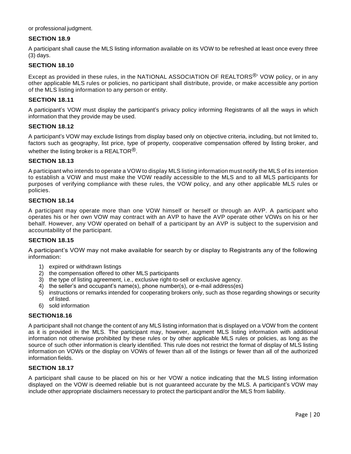### or professional judgment.

### **SECTION 18.9**

A participant shall cause the MLS listing information available on its VOW to be refreshed at least once every three (3) days.

### **SECTION 18.10**

Except as provided in these rules, in the NATIONAL ASSOCIATION OF REALTORS<sup>®</sup>' VOW policy, or in any other applicable MLS rules or policies, no participant shall distribute, provide, or make accessible any portion of the MLS listing information to any person or entity.

#### **SECTION 18.11**

A participant's VOW must display the participant's privacy policy informing Registrants of all the ways in which information that they provide may be used.

#### **SECTION 18.12**

A participant's VOW may exclude listings from display based only on objective criteria, including, but not limited to, factors such as geography, list price, type of property, cooperative compensation offered by listing broker, and whether the listing broker is a REALTOR<sup>®</sup>.

### **SECTION 18.13**

A participant who intends to operate a VOW to display MLS listing information must notify the MLS of its intention to establish a VOW and must make the VOW readily accessible to the MLS and to all MLS participants for purposes of verifying compliance with these rules, the VOW policy, and any other applicable MLS rules or policies.

#### **SECTION 18.14**

A participant may operate more than one VOW himself or herself or through an AVP. A participant who operates his or her own VOW may contract with an AVP to have the AVP operate other VOWs on his or her behalf. However, any VOW operated on behalf of a participant by an AVP is subject to the supervision and accountability of the participant.

### **SECTION 18.15**

A participant's VOW may not make available for search by or display to Registrants any of the following information:

- 1) expired or withdrawn listings
- 2) the compensation offered to other MLS participants
- 3) the type of listing agreement, i.e., exclusive right-to-sell or exclusive agency.
- 4) the seller's and occupant's name(s), phone number(s), or e-mail address(es)
- 5) instructions or remarks intended for cooperating brokers only, such as those regarding showings or security of listed.
- 6) sold information

### **SECTION18.16**

A participant shall not change the content of any MLS listing information that is displayed on a VOW from the content as it is provided in the MLS. The participant may, however, augment MLS listing information with additional information not otherwise prohibited by these rules or by other applicable MLS rules or policies, as long as the source of such other information is clearly identified. This rule does not restrict the format of display of MLS listing information on VOWs or the display on VOWs of fewer than all of the listings or fewer than all of the authorized information fields.

### **SECTION 18.17**

A participant shall cause to be placed on his or her VOW a notice indicating that the MLS listing information displayed on the VOW is deemed reliable but is not guaranteed accurate by the MLS. A participant's VOW may include other appropriate disclaimers necessary to protect the participant and/or the MLS from liability.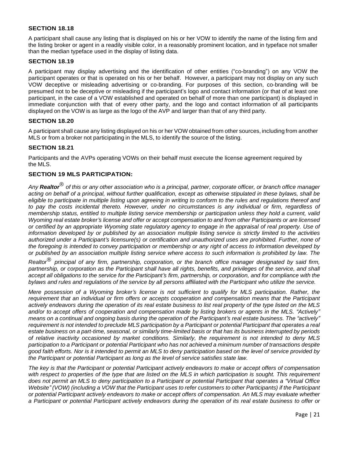### **SECTION 18.18**

A participant shall cause any listing that is displayed on his or her VOW to identify the name of the listing firm and the listing broker or agent in a readily visible color, in a reasonably prominent location, and in typeface not smaller than the median typeface used in the display of listing data.

### **SECTION 18.19**

A participant may display advertising and the identification of other entities ("co-branding") on any VOW the participant operates or that is operated on his or her behalf. However, a participant may not display on any such VOW deceptive or misleading advertising or co-branding. For purposes of this section, co-branding will be presumed not to be deceptive or misleading if the participant's logo and contact information (or that of at least one participant, in the case of a VOW established and operated on behalf of more than one participant) is displayed in immediate conjunction with that of every other party, and the logo and contact information of all participants displayed on the VOW is as large as the logo of the AVP and larger than that of any third party.

### **SECTION 18.20**

A participant shall cause any listing displayed on his or her VOW obtained from other sources, including from another MLS or from a broker not participating in the MLS, to identify the source of the listing.

### **SECTION 18.21**

Participants and the AVPs operating VOWs on their behalf must execute the license agreement required by the MLS.

### **SECTION 19 MLS PARTICIPATION:**

*Any Realtor ® of this or any other association who is a principal, partner, corporate officer, or branch office manager acting on behalf of a principal, without further qualification, except as otherwise stipulated in these bylaws, shall be eligible to participate in multiple listing upon agreeing in writing to conform to the rules and regulations thereof and to pay the costs incidental thereto. However, under no circumstances is any individual or firm, regardless of membership status, entitled to multiple listing service membership or participation unless they hold a current, valid Wyoming real estate broker's license and offer or accept compensation to and from other Participants or are licensed or certified by an appropriate Wyoming state regulatory agency to engage in the appraisal of real property. Use of information developed by or published by an association multiple listing service is strictly limited to the activities authorized under a Participant's licensure(s) or certification and unauthorized uses are prohibited. Further, none of the foregoing is intended to convey participation or membership or any right of access to information developed by or published by an association multiple listing service where access to such information is prohibited by law. The*

*Realtor ® principal of any firm, partnership, corporation, or the branch office manager designated by said firm, partnership, or corporation as the Participant shall have all rights, benefits, and privileges of the service, and shall accept all obligations to the service for the Participant's firm, partnership, or corporation, and for compliance with the bylaws and rules and regulations of the service by all persons affiliated with the Participant who utilize the service.*

*Mere possession of a Wyoming broker's license is not sufficient to qualify for MLS participation. Rather, the requirement that an individual or firm offers or accepts cooperation and compensation means that the Participant actively endeavors during the operation of its real estate business to list real property of the type listed on the MLS and/or to accept offers of cooperation and compensation made by listing brokers or agents in the MLS. "Actively" means on a continual and ongoing basis during the operation of the Participant's real estate business. The "actively" requirement is not intended to preclude MLS participation by a Participant or potential Participant that operates a real estate business on a part-time, seasonal, or similarly time-limited basis or that has its business interrupted by periods of relative inactivity occasioned by market conditions. Similarly, the requirement is not intended to deny MLS participation to a Participant or potential Participant who has not achieved a minimum number of transactions despite good faith efforts. Nor is it intended to permit an MLS to deny participation based on the level of service provided by the Participant or potential Participant as long as the level of service satisfies state law.*

*The key is that the Participant or potential Participant actively endeavors to make or accept offers of compensation with respect to properties of the type that are listed on the MLS in which participation is sought. This requirement does not permit an MLS to deny participation to a Participant or potential Participant that operates a "Virtual Office Website" (VOW) (including a VOW that the Participant uses to refer customers to other Participants) if the Participant or potential Participant actively endeavors to make or accept offers of compensation. An MLS may evaluate whether a Participant or potential Participant actively endeavors during the operation of its real estate business to offer or*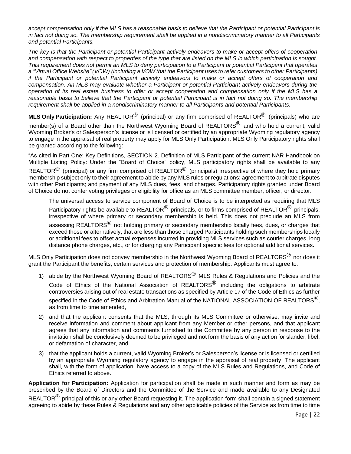*accept compensation only if the MLS has a reasonable basis to believe that the Participant or potential Participant is in fact not doing so. The membership requirement shall be applied in a nondiscriminatory manner to all Participants and potential Participants.*

*The key is that the Participant or potential Participant actively endeavors to make or accept offers of cooperation and compensation with respect to properties of the type that are listed on the MLS in which participation is sought. This requirement does not permit an MLS to deny participation to a Participant or potential Participant that operates a "Virtual Office Website" (VOW) (including a VOW that the Participant uses to refer customers to other Participants) if the Participant or potential Participant actively endeavors to make or accept offers of cooperation and compensation. An MLS may evaluate whether a Participant or potential Participant actively endeavors during the operation of its real estate business to offer or accept cooperation and compensation only if the MLS has a reasonable basis to believe that the Participant or potential Participant is in fact not doing so. The membership requirement shall be applied in a nondiscriminatory manner to all Participants and potential Participants.*

**MLS Only Participation:** Any REALTOR<sup>®</sup> (principal) or any firm comprised of REALTOR<sup>®</sup> (principals) who are member(s) of a Board other than the Northwest Wyoming Board of REALTORS $^\circledR$  and who hold a current, valid Wyoming Broker's or Salesperson's license or is licensed or certified by an appropriate Wyoming regulatory agency to engage in the appraisal of real property may apply for MLS Only Participation. MLS Only Participatory rights shall be granted according to the following:

"As cited in Part One: Key Definitions, SECTION 2. Definition of MLS Participant of the current NAR Handbook on Multiple Listing Policy: Under the "Board of Choice" policy, MLS participatory rights shall be available to any REALTOR $^{\circledR}$  (principal) or any firm comprised of REALTOR $^{\circledR}$  (principals) irrespective of where they hold primary membership subject only to their agreement to abide by any MLS rules or regulations; agreement to arbitrate disputes with other Participants; and payment of any MLS dues, fees, and charges. Participatory rights granted under Board of Choice do not confer voting privileges or eligibility for office as an MLS committee member, officer, or director.

The universal access to service component of Board of Choice is to be interpreted as requiring that MLS Participatory rights be available to REALTOR $^\circledR$  principals, or to firms comprised of REALTOR $^\circledR$  principals, irrespective of where primary or secondary membership is held. This does not preclude an MLS from assessing REALTORS $^\circledR$  not holding primary or secondary membership locally fees, dues, or charges that exceed those or alternatively, that are less than those charged Participants holding such memberships locally or additional fees to offset actual expenses incurred in providing MLS services such as courier charges, long distance phone charges, etc., or for charging any Participant specific fees for optional additional services.

MLS Only Participation does not convey membership in the Northwest Wyoming Board of REALTORS $^\circledR$  nor does it grant the Participant the benefits, certain services and protection of membership. Applicants must agree to:

- 1) abide by the Northwest Wyoming Board of REALTORS<sup>®</sup> MLS Rules & Regulations and Policies and the Code of Ethics of the National Association of REALTORS<sup>®</sup> including the obligations to arbitrate controversies arising out of real estate transactions as specified by Article 17 of the Code of Ethics as further specified in the Code of Ethics and Arbitration Manual of the NATIONAL ASSOCIATION OF REALTORS $^{\circledR}$ , as from time to time amended,
- 2) and that the applicant consents that the MLS, through its MLS Committee or otherwise, may invite and receive information and comment about applicant from any Member or other persons, and that applicant agrees that any information and comments furnished to the Committee by any person in response to the invitation shall be conclusively deemed to be privileged and not form the basis of any action for slander, libel, or defamation of character, and
- 3) that the applicant holds a current, valid Wyoming Broker's or Salesperson's license or is licensed or certified by an appropriate Wyoming regulatory agency to engage in the appraisal of real property. The applicant shall, with the form of application, have access to a copy of the MLS Rules and Regulations, and Code of Ethics referred to above.

**Application for Participation:** Application for participation shall be made in such manner and form as may be prescribed by the Board of Directors and the Committee of the Service and made available to any Designated

REALTOR $^\circledR$  principal of this or any other Board requesting it. The application form shall contain a signed statement agreeing to abide by these Rules & Regulations and any other applicable policies of the Service as from time to time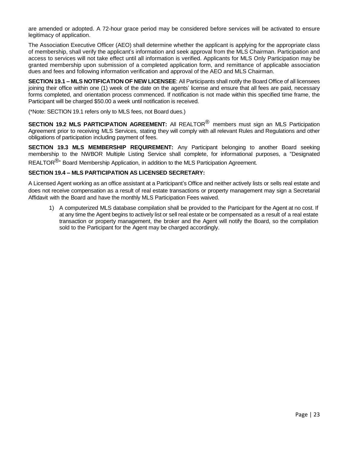are amended or adopted. A 72-hour grace period may be considered before services will be activated to ensure legitimacy of application.

The Association Executive Officer (AEO) shall determine whether the applicant is applying for the appropriate class of membership, shall verify the applicant's information and seek approval from the MLS Chairman. Participation and access to services will not take effect until all information is verified. Applicants for MLS Only Participation may be granted membership upon submission of a completed application form, and remittance of applicable association dues and fees and following information verification and approval of the AEO and MLS Chairman.

**SECTION 19.1 – MLS NOTIFICATION OF NEW LICENSEE**: All Participants shall notify the Board Office of all licensees joining their office within one (1) week of the date on the agents' license and ensure that all fees are paid, necessary forms completed, and orientation process commenced. If notification is not made within this specified time frame, the Participant will be charged \$50.00 a week until notification is received.

(\*Note: SECTION 19.1 refers only to MLS fees, not Board dues.)

**SECTION 19.2 MLS PARTICIPATION AGREEMENT:** All REALTOR ® members must sign an MLS Participation Agreement prior to receiving MLS Services, stating they will comply with all relevant Rules and Regulations and other obligations of participation including payment of fees.

**SECTION 19.3 MLS MEMBERSHIP REQUIREMENT:** Any Participant belonging to another Board seeking membership to the NWBOR Multiple Listing Service shall complete, for informational purposes, a "Designated REALTOR<sup>®</sup><sup>,</sup> Board Membership Application, in addition to the MLS Participation Agreement.

### **SECTION 19.4 – MLS PARTICIPATION AS LICENSED SECRETARY:**

A Licensed Agent working as an office assistant at a Participant's Office and neither actively lists or sells real estate and does not receive compensation as a result of real estate transactions or property management may sign a Secretarial Affidavit with the Board and have the monthly MLS Participation Fees waived.

1) A computerized MLS database compilation shall be provided to the Participant for the Agent at no cost. If at any time the Agent begins to actively list or sell real estate or be compensated as a result of a real estate transaction or property management, the broker and the Agent will notify the Board, so the compilation sold to the Participant for the Agent may be charged accordingly.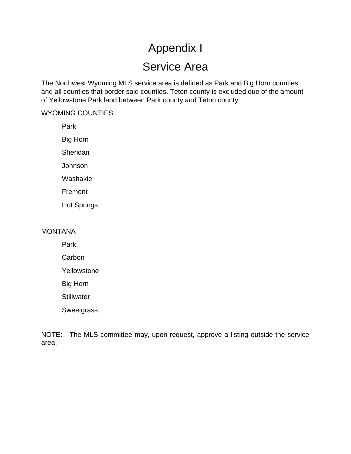# Appendix I

## Service Area

The Northwest Wyoming MLS service area is defined as Park and Big Horn counties and all counties that border said counties. Teton county is excluded due of the amount of Yellowstone Park land between Park county and Teton county.

### WYOMING COUNTIES

Park

Big Horn

**Sheridan** 

Johnson

Washakie

Fremont

Hot Springs

### **MONTANA**

Park

**Carbon** 

Yellowstone

Big Horn

**Stillwater** 

**Sweetgrass** 

NOTE: - The MLS committee may, upon request, approve a listing outside the service area.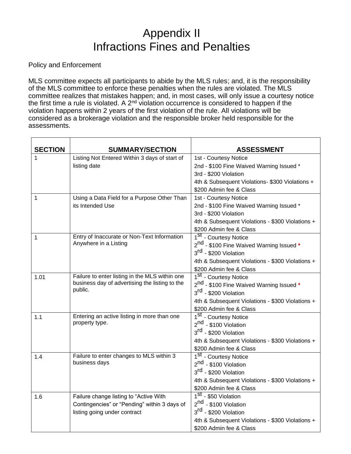# Appendix II Infractions Fines and Penalties

Policy and Enforcement

MLS committee expects all participants to abide by the MLS rules; and, it is the responsibility of the MLS committee to enforce these penalties when the rules are violated. The MLS committee realizes that mistakes happen; and, in most cases, will only issue a courtesy notice the first time a rule is violated. A 2nd violation occurrence is considered to happen if the violation happens within 2 years of the first violation of the rule. All violations will be considered as a brokerage violation and the responsible broker held responsible for the assessments.

| <b>SECTION</b> | <b>SUMMARY/SECTION</b>                                                                                      | <b>ASSESSMENT</b>                                    |  |
|----------------|-------------------------------------------------------------------------------------------------------------|------------------------------------------------------|--|
| 1              | Listing Not Entered Within 3 days of start of                                                               | 1st - Courtesy Notice                                |  |
|                | listing date                                                                                                | 2nd - \$100 Fine Waived Warning Issued *             |  |
|                |                                                                                                             | 3rd - \$200 Violation                                |  |
|                |                                                                                                             | 4th & Subsequent Violations- \$300 Violations +      |  |
|                |                                                                                                             | \$200 Admin fee & Class                              |  |
| $\mathbf{1}$   | Using a Data Field for a Purpose Other Than                                                                 | 1st - Courtesy Notice                                |  |
|                | its Intended Use                                                                                            | 2nd - \$100 Fine Waived Warning Issued *             |  |
|                |                                                                                                             | 3rd - \$200 Violation                                |  |
|                |                                                                                                             | 4th & Subsequent Violations - \$300 Violations +     |  |
|                |                                                                                                             | \$200 Admin fee & Class                              |  |
| 1              | Entry of Inaccurate or Non-Text Information                                                                 | 1 <sup>St</sup> - Courtesy Notice                    |  |
|                | Anywhere in a Listing                                                                                       | 2 <sup>nd</sup> - \$100 Fine Waived Warning Issued * |  |
|                |                                                                                                             | 3 <sup>rd</sup> - \$200 Violation                    |  |
|                |                                                                                                             | 4th & Subsequent Violations - \$300 Violations +     |  |
|                |                                                                                                             | \$200 Admin fee & Class                              |  |
| 1.01           | Failure to enter listing in the MLS within one<br>business day of advertising the listing to the<br>public. | 1 <sup>St</sup> - Courtesy Notice                    |  |
|                |                                                                                                             | 2 <sup>nd</sup> - \$100 Fine Waived Warning Issued * |  |
|                |                                                                                                             | 3 <sup>rd</sup> - \$200 Violation                    |  |
|                |                                                                                                             | 4th & Subsequent Violations - \$300 Violations +     |  |
|                |                                                                                                             | \$200 Admin fee & Class                              |  |
| 1.1            | Entering an active listing in more than one                                                                 | 1 <sup>st</sup> - Courtesy Notice                    |  |
|                | property type.                                                                                              | 2 <sup>nd</sup> - \$100 Violation                    |  |
|                |                                                                                                             | 3 <sup>rd</sup> - \$200 Violation                    |  |
|                |                                                                                                             | 4th & Subsequent Violations - \$300 Violations +     |  |
|                |                                                                                                             | \$200 Admin fee & Class                              |  |
| 1.4            | Failure to enter changes to MLS within 3                                                                    | 1 <sup>St</sup> - Courtesy Notice                    |  |
|                | business days                                                                                               | 2 <sup>nd</sup> - \$100 Violation                    |  |
|                |                                                                                                             | 3 <sup>rd</sup> - \$200 Violation                    |  |
|                |                                                                                                             | 4th & Subsequent Violations - \$300 Violations +     |  |
|                |                                                                                                             | \$200 Admin fee & Class                              |  |
| 1.6            | Failure change listing to "Active With                                                                      | 1 <sup>st</sup> - \$50 Violation                     |  |
|                | Contingencies" or "Pending" within 3 days of                                                                | 2 <sup>nd</sup> - \$100 Violation                    |  |
|                | listing going under contract                                                                                | 3 <sup>rd</sup> - \$200 Violation                    |  |
|                |                                                                                                             | 4th & Subsequent Violations - \$300 Violations +     |  |
|                |                                                                                                             | \$200 Admin fee & Class                              |  |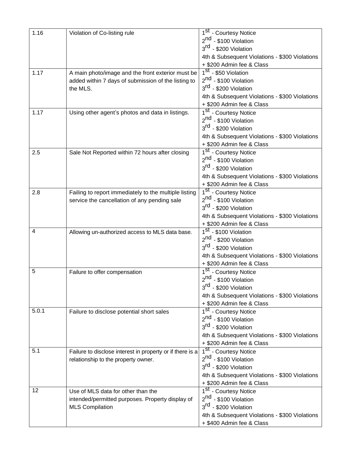| 1.16  | Violation of Co-listing rule                              | 1 <sup>St</sup> - Courtesy Notice              |  |
|-------|-----------------------------------------------------------|------------------------------------------------|--|
|       |                                                           | 2 <sup>nd</sup> - \$100 Violation              |  |
|       |                                                           | 3 <sup>rd</sup> - \$200 Violation              |  |
|       |                                                           | 4th & Subsequent Violations - \$300 Violations |  |
|       |                                                           | + \$200 Admin fee & Class                      |  |
| 1.17  | A main photo/image and the front exterior must be         | $1st$ - \$50 Violation                         |  |
|       | added within 7 days of submission of the listing to       | 2 <sup>nd</sup> - \$100 Violation              |  |
|       | the MLS.                                                  | 3 <sup>rd</sup> - \$200 Violation              |  |
|       |                                                           | 4th & Subsequent Violations - \$300 Violations |  |
|       |                                                           | + \$200 Admin fee & Class                      |  |
| 1.17  | Using other agent's photos and data in listings.          | 1 <sup>St</sup> - Courtesy Notice              |  |
|       |                                                           | 2 <sup>nd</sup> - \$100 Violation              |  |
|       |                                                           | 3 <sup>rd</sup> - \$200 Violation              |  |
|       |                                                           | 4th & Subsequent Violations - \$300 Violations |  |
|       |                                                           | + \$200 Admin fee & Class                      |  |
| 2.5   | Sale Not Reported within 72 hours after closing           | 1 <sup>st</sup> - Courtesy Notice              |  |
|       |                                                           | 2 <sup>nd</sup> - \$100 Violation              |  |
|       |                                                           | 3 <sup>rd</sup> - \$200 Violation              |  |
|       |                                                           | 4th & Subsequent Violations - \$300 Violations |  |
|       |                                                           | + \$200 Admin fee & Class                      |  |
| 2.8   | Failing to report immediately to the multiple listing     | 1 <sup>St</sup> - Courtesy Notice              |  |
|       | service the cancellation of any pending sale              | 2 <sup>nd</sup> - \$100 Violation              |  |
|       |                                                           | 3 <sup>rd</sup> - \$200 Violation              |  |
|       |                                                           | 4th & Subsequent Violations - \$300 Violations |  |
|       |                                                           | + \$200 Admin fee & Class                      |  |
| 4     | Allowing un-authorized access to MLS data base.           | 1 <sup>st</sup> - \$100 Violation              |  |
|       |                                                           | 2 <sup>nd</sup> - \$200 Violation              |  |
|       |                                                           | 3 <sup>rd</sup> - \$200 Violation              |  |
|       |                                                           | 4th & Subsequent Violations - \$300 Violations |  |
|       |                                                           | + \$200 Admin fee & Class                      |  |
| 5     | Failure to offer compensation                             | 1 <sup>St</sup> - Courtesy Notice              |  |
|       |                                                           | 2 <sup>nd</sup> - \$100 Violation              |  |
|       |                                                           | 3 <sup>rd</sup> - \$200 Violation              |  |
|       |                                                           | 4th & Subsequent Violations - \$300 Violations |  |
|       |                                                           | + \$200 Admin fee & Class                      |  |
| 5.0.1 | Failure to disclose potential short sales                 | 1 <sup>St</sup> - Courtesy Notice              |  |
|       |                                                           | 2 <sup>nd</sup> - \$100 Violation              |  |
|       |                                                           | 3 <sup>rd</sup> - \$200 Violation              |  |
|       |                                                           | 4th & Subsequent Violations - \$300 Violations |  |
|       |                                                           | + \$200 Admin fee & Class                      |  |
| 5.1   | Failure to disclose interest in property or if there is a | 1 <sup>st</sup> - Courtesy Notice              |  |
|       | relationship to the property owner.                       | 2 <sup>nd</sup> - \$100 Violation              |  |
|       |                                                           | 3 <sup>rd</sup> - \$200 Violation              |  |
|       |                                                           | 4th & Subsequent Violations - \$300 Violations |  |
|       |                                                           | + \$200 Admin fee & Class                      |  |
| 12    | Use of MLS data for other than the                        | 1 <sup>St</sup> - Courtesy Notice              |  |
|       | intended/permitted purposes. Property display of          | 2 <sup>nd</sup> - \$100 Violation              |  |
|       | <b>MLS Compilation</b>                                    | 3 <sup>rd</sup> - \$200 Violation              |  |
|       |                                                           | 4th & Subsequent Violations - \$300 Violations |  |
|       |                                                           | + \$400 Admin fee & Class                      |  |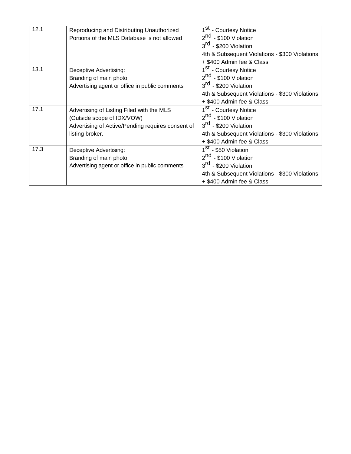| 12.1 | Reproducing and Distributing Unauthorized         | 1 <sup>St</sup> - Courtesy Notice              |
|------|---------------------------------------------------|------------------------------------------------|
|      | Portions of the MLS Database is not allowed       | 2 <sup>nd</sup> - \$100 Violation              |
|      |                                                   | 3 <sup>rd</sup> - \$200 Violation              |
|      |                                                   | 4th & Subsequent Violations - \$300 Violations |
|      |                                                   | + \$400 Admin fee & Class                      |
| 13.1 | Deceptive Advertising:                            | 1 <sup>st</sup><br>- Courtesy Notice           |
|      | Branding of main photo                            | 2 <sup>nd</sup> - \$100 Violation              |
|      | Advertising agent or office in public comments    | 3 <sup>rd</sup> - \$200 Violation              |
|      |                                                   | 4th & Subsequent Violations - \$300 Violations |
|      |                                                   | + \$400 Admin fee & Class                      |
| 17.1 | Advertising of Listing Filed with the MLS         | 1 <sup>St</sup> - Courtesy Notice              |
|      | (Outside scope of IDX/VOW)                        | 2 <sup>nd</sup> - \$100 Violation              |
|      | Advertising of Active/Pending requires consent of | 3 <sup>rd</sup> - \$200 Violation              |
|      | listing broker.                                   | 4th & Subsequent Violations - \$300 Violations |
|      |                                                   | + \$400 Admin fee & Class                      |
| 17.3 | Deceptive Advertising:                            | 1 <sup>St</sup><br>- \$50 Violation            |
|      | Branding of main photo                            | 2 <sup>nd</sup> - \$100 Violation              |
|      | Advertising agent or office in public comments    | 3 <sup>rd</sup> - \$200 Violation              |
|      |                                                   | 4th & Subsequent Violations - \$300 Violations |
|      |                                                   | + \$400 Admin fee & Class                      |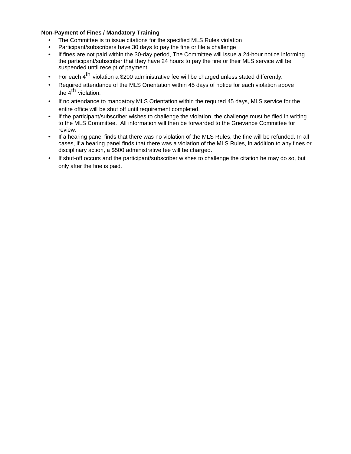### **Non-Payment of Fines / Mandatory Training**

- The Committee is to issue citations for the specified MLS Rules violation
- Participant/subscribers have 30 days to pay the fine or file a challenge
- If fines are not paid within the 30-day period, The Committee will issue a 24-hour notice informing the participant/subscriber that they have 24 hours to pay the fine or their MLS service will be suspended until receipt of payment.
- For each  $4^{\text{th}}$  violation a \$200 administrative fee will be charged unless stated differently.
- Required attendance of the MLS Orientation within 45 days of notice for each violation above the 4<sup>th</sup> violation.
- If no attendance to mandatory MLS Orientation within the required 45 days, MLS service for the entire office will be shut off until requirement completed.
- If the participant/subscriber wishes to challenge the violation, the challenge must be filed in writing to the MLS Committee. All information will then be forwarded to the Grievance Committee for review.
- If a hearing panel finds that there was no violation of the MLS Rules, the fine will be refunded. In all cases, if a hearing panel finds that there was a violation of the MLS Rules, in addition to any fines or disciplinary action, a \$500 administrative fee will be charged.
- If shut-off occurs and the participant/subscriber wishes to challenge the citation he may do so, but only after the fine is paid.